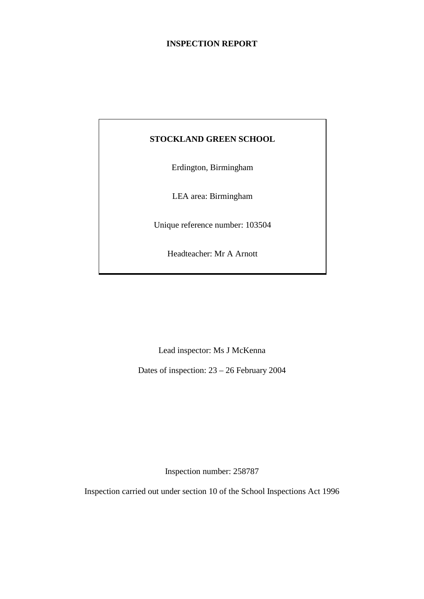## **INSPECTION REPORT**

## **STOCKLAND GREEN SCHOOL**

Erdington, Birmingham

LEA area: Birmingham

Unique reference number: 103504

Headteacher: Mr A Arnott

Lead inspector: Ms J McKenna

Dates of inspection: 23 – 26 February 2004

Inspection number: 258787

Inspection carried out under section 10 of the School Inspections Act 1996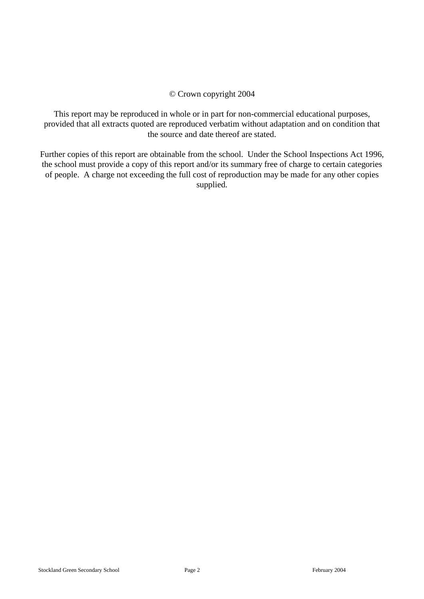#### © Crown copyright 2004

This report may be reproduced in whole or in part for non-commercial educational purposes, provided that all extracts quoted are reproduced verbatim without adaptation and on condition that the source and date thereof are stated.

Further copies of this report are obtainable from the school. Under the School Inspections Act 1996, the school must provide a copy of this report and/or its summary free of charge to certain categories of people. A charge not exceeding the full cost of reproduction may be made for any other copies supplied.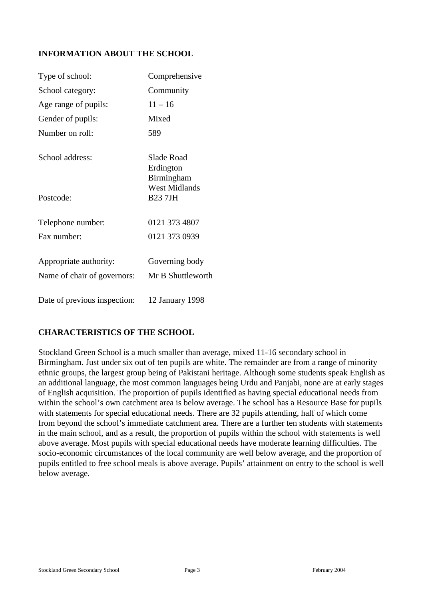## **INFORMATION ABOUT THE SCHOOL**

| Type of school:              | Comprehensive                         |
|------------------------------|---------------------------------------|
| School category:             | Community                             |
| Age range of pupils:         | $11 - 16$                             |
| Gender of pupils:            | Mixed                                 |
| Number on roll:              | 589                                   |
| School address:              | Slade Road<br>Erdington<br>Birmingham |
| Postcode:                    | <b>West Midlands</b><br><b>B237JH</b> |
| Telephone number:            | 0121 373 4807                         |
| Fax number:                  | 0121 373 0939                         |
| Appropriate authority:       | Governing body                        |
| Name of chair of governors:  | Mr B Shuttleworth                     |
| Date of previous inspection: | 12 January 1998                       |

## **CHARACTERISTICS OF THE SCHOOL**

Stockland Green School is a much smaller than average, mixed 11-16 secondary school in Birmingham. Just under six out of ten pupils are white. The remainder are from a range of minority ethnic groups, the largest group being of Pakistani heritage. Although some students speak English as an additional language, the most common languages being Urdu and Panjabi, none are at early stages of English acquisition. The proportion of pupils identified as having special educational needs from within the school's own catchment area is below average. The school has a Resource Base for pupils with statements for special educational needs. There are 32 pupils attending, half of which come from beyond the school's immediate catchment area. There are a further ten students with statements in the main school, and as a result, the proportion of pupils within the school with statements is well above average. Most pupils with special educational needs have moderate learning difficulties. The socio-economic circumstances of the local community are well below average, and the proportion of pupils entitled to free school meals is above average. Pupils' attainment on entry to the school is well below average.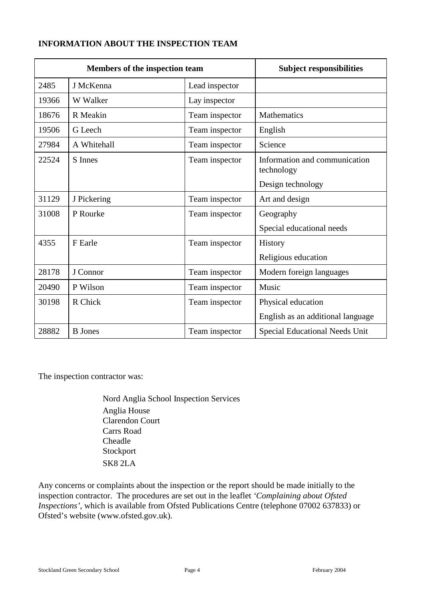# **INFORMATION ABOUT THE INSPECTION TEAM**

|       | Members of the inspection team |                | <b>Subject responsibilities</b>             |
|-------|--------------------------------|----------------|---------------------------------------------|
| 2485  | J McKenna                      | Lead inspector |                                             |
| 19366 | W Walker                       | Lay inspector  |                                             |
| 18676 | R Meakin                       | Team inspector | <b>Mathematics</b>                          |
| 19506 | G Leech                        | Team inspector | English                                     |
| 27984 | A Whitehall                    | Team inspector | Science                                     |
| 22524 | <b>S</b> Innes                 | Team inspector | Information and communication<br>technology |
|       |                                |                | Design technology                           |
| 31129 | J Pickering                    | Team inspector | Art and design                              |
| 31008 | P Rourke                       | Team inspector | Geography                                   |
|       |                                |                | Special educational needs                   |
| 4355  | F Earle                        | Team inspector | History                                     |
|       |                                |                | Religious education                         |
| 28178 | J Connor                       | Team inspector | Modern foreign languages                    |
| 20490 | P Wilson                       | Team inspector | Music                                       |
| 30198 | R Chick                        | Team inspector | Physical education                          |
|       |                                |                | English as an additional language           |
| 28882 | <b>B</b> Jones                 | Team inspector | <b>Special Educational Needs Unit</b>       |

The inspection contractor was:

Nord Anglia School Inspection Services Anglia House Clarendon Court Carrs Road Cheadle Stockport SK8 2LA

Any concerns or complaints about the inspection or the report should be made initially to the inspection contractor. The procedures are set out in the leaflet *'Complaining about Ofsted Inspections'*, which is available from Ofsted Publications Centre (telephone 07002 637833) or Ofsted's website (www.ofsted.gov.uk).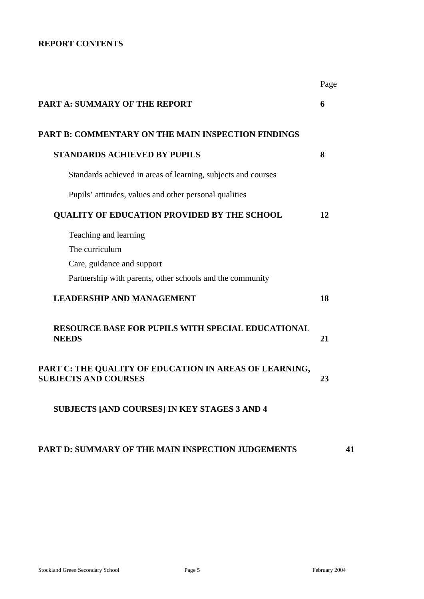## **REPORT CONTENTS**

|                                                                                       | Page |
|---------------------------------------------------------------------------------------|------|
| <b>PART A: SUMMARY OF THE REPORT</b>                                                  | 6    |
| <b>PART B: COMMENTARY ON THE MAIN INSPECTION FINDINGS</b>                             |      |
| <b>STANDARDS ACHIEVED BY PUPILS</b>                                                   | 8    |
| Standards achieved in areas of learning, subjects and courses                         |      |
| Pupils' attitudes, values and other personal qualities                                |      |
| <b>QUALITY OF EDUCATION PROVIDED BY THE SCHOOL</b>                                    | 12   |
| Teaching and learning<br>The curriculum                                               |      |
| Care, guidance and support                                                            |      |
| Partnership with parents, other schools and the community                             |      |
| <b>LEADERSHIP AND MANAGEMENT</b>                                                      | 18   |
| <b>RESOURCE BASE FOR PUPILS WITH SPECIAL EDUCATIONAL</b><br><b>NEEDS</b>              | 21   |
| PART C: THE QUALITY OF EDUCATION IN AREAS OF LEARNING,<br><b>SUBJECTS AND COURSES</b> | 23   |
| SUBJECTS [AND COURSES] IN KEY STAGES 3 AND 4                                          |      |
| PART D: SUMMARY OF THE MAIN INSPECTION JUDGEMENTS                                     | 41   |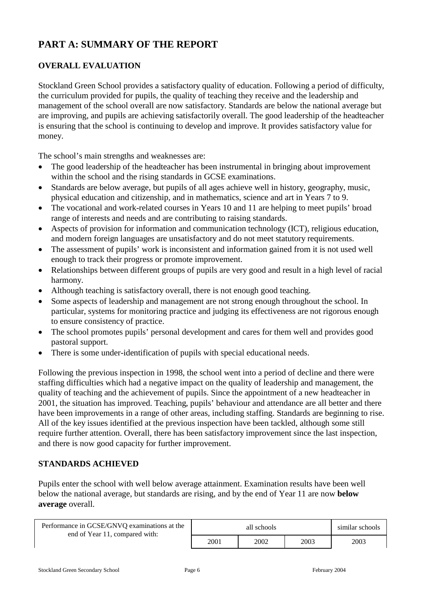# **PART A: SUMMARY OF THE REPORT**

# **OVERALL EVALUATION**

Stockland Green School provides a satisfactory quality of education. Following a period of difficulty, the curriculum provided for pupils, the quality of teaching they receive and the leadership and management of the school overall are now satisfactory. Standards are below the national average but are improving, and pupils are achieving satisfactorily overall. The good leadership of the headteacher is ensuring that the school is continuing to develop and improve. It provides satisfactory value for money.

The school's main strengths and weaknesses are:

- The good leadership of the headteacher has been instrumental in bringing about improvement within the school and the rising standards in GCSE examinations.
- Standards are below average, but pupils of all ages achieve well in history, geography, music, physical education and citizenship, and in mathematics, science and art in Years 7 to 9.
- The vocational and work-related courses in Years 10 and 11 are helping to meet pupils' broad range of interests and needs and are contributing to raising standards.
- Aspects of provision for information and communication technology (ICT), religious education, and modern foreign languages are unsatisfactory and do not meet statutory requirements.
- The assessment of pupils' work is inconsistent and information gained from it is not used well enough to track their progress or promote improvement.
- Relationships between different groups of pupils are very good and result in a high level of racial harmony.
- Although teaching is satisfactory overall, there is not enough good teaching.
- Some aspects of leadership and management are not strong enough throughout the school. In particular, systems for monitoring practice and judging its effectiveness are not rigorous enough to ensure consistency of practice.
- The school promotes pupils' personal development and cares for them well and provides good pastoral support.
- There is some under-identification of pupils with special educational needs.

Following the previous inspection in 1998, the school went into a period of decline and there were staffing difficulties which had a negative impact on the quality of leadership and management, the quality of teaching and the achievement of pupils. Since the appointment of a new headteacher in 2001, the situation has improved. Teaching, pupils' behaviour and attendance are all better and there have been improvements in a range of other areas, including staffing. Standards are beginning to rise. All of the key issues identified at the previous inspection have been tackled, although some still require further attention. Overall, there has been satisfactory improvement since the last inspection, and there is now good capacity for further improvement.

## **STANDARDS ACHIEVED**

Pupils enter the school with well below average attainment. Examination results have been well below the national average, but standards are rising, and by the end of Year 11 are now **below average** overall.

| Performance in GCSE/GNVQ examinations at the<br>end of Year 11, compared with: |      | similar schools |      |
|--------------------------------------------------------------------------------|------|-----------------|------|
|                                                                                | 2001 | 2002            | 2003 |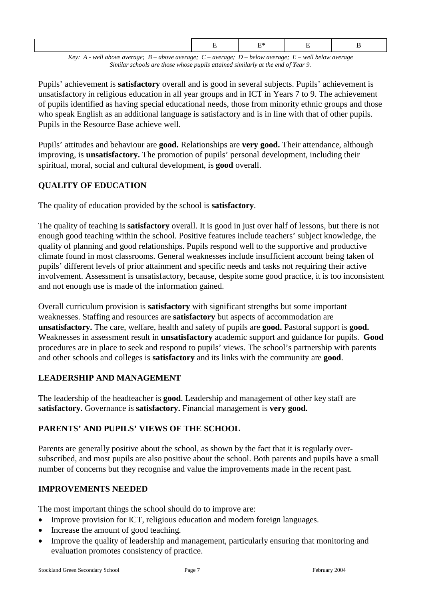*Key: A - well above average; B – above average; C – average; D – below average; E – well below average Similar schools are those whose pupils attained similarly at the end of Year 9.*

Pupils' achievement is **satisfactory** overall and is good in several subjects. Pupils' achievement is unsatisfactory in religious education in all year groups and in ICT in Years 7 to 9. The achievement of pupils identified as having special educational needs, those from minority ethnic groups and those who speak English as an additional language is satisfactory and is in line with that of other pupils. Pupils in the Resource Base achieve well.

Pupils' attitudes and behaviour are **good.** Relationships are **very good.** Their attendance, although improving, is **unsatisfactory.** The promotion of pupils' personal development, including their spiritual, moral, social and cultural development, is **good** overall.

# **QUALITY OF EDUCATION**

The quality of education provided by the school is **satisfactory**.

The quality of teaching is **satisfactory** overall. It is good in just over half of lessons, but there is not enough good teaching within the school. Positive features include teachers' subject knowledge, the quality of planning and good relationships. Pupils respond well to the supportive and productive climate found in most classrooms. General weaknesses include insufficient account being taken of pupils' different levels of prior attainment and specific needs and tasks not requiring their active involvement. Assessment is unsatisfactory, because, despite some good practice, it is too inconsistent and not enough use is made of the information gained.

Overall curriculum provision is **satisfactory** with significant strengths but some important weaknesses. Staffing and resources are **satisfactory** but aspects of accommodation are **unsatisfactory.** The care, welfare, health and safety of pupils are **good.** Pastoral support is **good.** Weaknesses in assessment result in **unsatisfactory** academic support and guidance for pupils. **Good**  procedures are in place to seek and respond to pupils' views. The school's partnership with parents and other schools and colleges is **satisfactory** and its links with the community are **good**.

# **LEADERSHIP AND MANAGEMENT**

The leadership of the headteacher is **good**. Leadership and management of other key staff are **satisfactory.** Governance is **satisfactory.** Financial management is **very good.**

# **PARENTS' AND PUPILS' VIEWS OF THE SCHOOL**

Parents are generally positive about the school, as shown by the fact that it is regularly oversubscribed, and most pupils are also positive about the school. Both parents and pupils have a small number of concerns but they recognise and value the improvements made in the recent past.

# **IMPROVEMENTS NEEDED**

The most important things the school should do to improve are:

- Improve provision for ICT, religious education and modern foreign languages.
- Increase the amount of good teaching.
- Improve the quality of leadership and management, particularly ensuring that monitoring and evaluation promotes consistency of practice.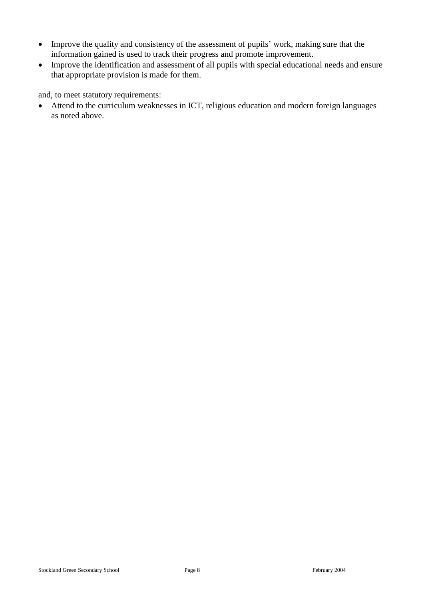- Improve the quality and consistency of the assessment of pupils' work, making sure that the information gained is used to track their progress and promote improvement.
- Improve the identification and assessment of all pupils with special educational needs and ensure that appropriate provision is made for them.

and, to meet statutory requirements:

 Attend to the curriculum weaknesses in ICT, religious education and modern foreign languages as noted above.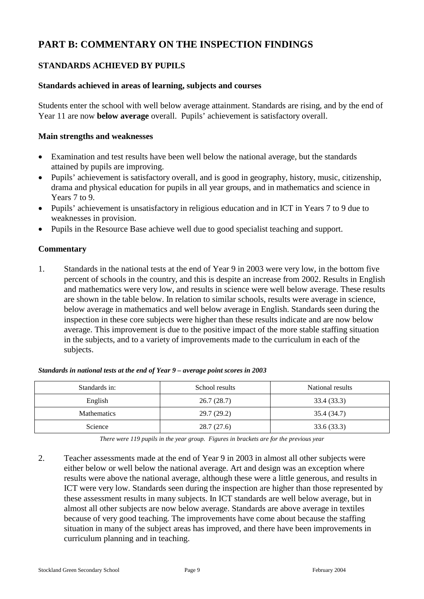# **PART B: COMMENTARY ON THE INSPECTION FINDINGS**

## **STANDARDS ACHIEVED BY PUPILS**

#### **Standards achieved in areas of learning, subjects and courses**

Students enter the school with well below average attainment. Standards are rising, and by the end of Year 11 are now **below average** overall. Pupils' achievement is satisfactory overall.

#### **Main strengths and weaknesses**

- Examination and test results have been well below the national average, but the standards attained by pupils are improving.
- Pupils' achievement is satisfactory overall, and is good in geography, history, music, citizenship, drama and physical education for pupils in all year groups, and in mathematics and science in Years 7 to 9.
- Pupils' achievement is unsatisfactory in religious education and in ICT in Years 7 to 9 due to weaknesses in provision.
- Pupils in the Resource Base achieve well due to good specialist teaching and support.

#### **Commentary**

1. Standards in the national tests at the end of Year 9 in 2003 were very low, in the bottom five percent of schools in the country, and this is despite an increase from 2002. Results in English and mathematics were very low, and results in science were well below average. These results are shown in the table below. In relation to similar schools, results were average in science, below average in mathematics and well below average in English. Standards seen during the inspection in these core subjects were higher than these results indicate and are now below average. This improvement is due to the positive impact of the more stable staffing situation in the subjects, and to a variety of improvements made to the curriculum in each of the subjects.

| Standards in:      | School results | National results |
|--------------------|----------------|------------------|
| English            | 26.7(28.7)     | 33.4 (33.3)      |
| <b>Mathematics</b> | 29.7(29.2)     | 35.4 (34.7)      |
| Science            | 28.7(27.6)     | 33.6(33.3)       |

|  |  | Standards in national tests at the end of Year 9 - average point scores in 2003 |  |
|--|--|---------------------------------------------------------------------------------|--|
|--|--|---------------------------------------------------------------------------------|--|

*There were 119 pupils in the year group. Figures in brackets are for the previous year*

2. Teacher assessments made at the end of Year 9 in 2003 in almost all other subjects were either below or well below the national average. Art and design was an exception where results were above the national average, although these were a little generous, and results in ICT were very low. Standards seen during the inspection are higher than those represented by these assessment results in many subjects. In ICT standards are well below average, but in almost all other subjects are now below average. Standards are above average in textiles because of very good teaching. The improvements have come about because the staffing situation in many of the subject areas has improved, and there have been improvements in curriculum planning and in teaching.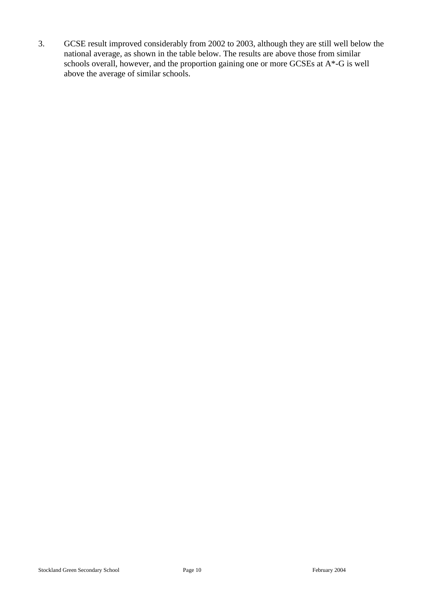3. GCSE result improved considerably from 2002 to 2003, although they are still well below the national average, as shown in the table below. The results are above those from similar schools overall, however, and the proportion gaining one or more GCSEs at A\*-G is well above the average of similar schools.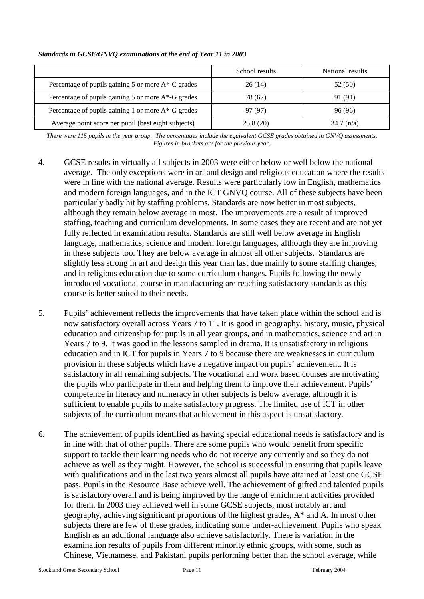|                                                          | School results | National results |
|----------------------------------------------------------|----------------|------------------|
| Percentage of pupils gaining $5$ or more $A^*$ -C grades | 26(14)         | 52 (50)          |
| Percentage of pupils gaining 5 or more A*-G grades       | 78 (67)        | 91 (91)          |
| Percentage of pupils gaining 1 or more $A^*$ -G grades   | 97 (97)        | 96 (96)          |
| Average point score per pupil (best eight subjects)      | 25.8(20)       | $34.7 \; (n/a)$  |

#### *Standards in GCSE/GNVQ examinations at the end of Year 11 in 2003*

*There were 115 pupils in the year group. The percentages include the equivalent GCSE grades obtained in GNVQ assessments. Figures in brackets are for the previous year.* 

- 4. GCSE results in virtually all subjects in 2003 were either below or well below the national average. The only exceptions were in art and design and religious education where the results were in line with the national average. Results were particularly low in English, mathematics and modern foreign languages, and in the ICT GNVQ course. All of these subjects have been particularly badly hit by staffing problems. Standards are now better in most subjects, although they remain below average in most. The improvements are a result of improved staffing, teaching and curriculum developments. In some cases they are recent and are not yet fully reflected in examination results. Standards are still well below average in English language, mathematics, science and modern foreign languages, although they are improving in these subjects too. They are below average in almost all other subjects. Standards are slightly less strong in art and design this year than last due mainly to some staffing changes, and in religious education due to some curriculum changes. Pupils following the newly introduced vocational course in manufacturing are reaching satisfactory standards as this course is better suited to their needs.
- 5. Pupils' achievement reflects the improvements that have taken place within the school and is now satisfactory overall across Years 7 to 11. It is good in geography, history, music, physical education and citizenship for pupils in all year groups, and in mathematics, science and art in Years 7 to 9. It was good in the lessons sampled in drama. It is unsatisfactory in religious education and in ICT for pupils in Years 7 to 9 because there are weaknesses in curriculum provision in these subjects which have a negative impact on pupils' achievement. It is satisfactory in all remaining subjects. The vocational and work based courses are motivating the pupils who participate in them and helping them to improve their achievement. Pupils' competence in literacy and numeracy in other subjects is below average, although it is sufficient to enable pupils to make satisfactory progress. The limited use of ICT in other subjects of the curriculum means that achievement in this aspect is unsatisfactory.
- 6. The achievement of pupils identified as having special educational needs is satisfactory and is in line with that of other pupils. There are some pupils who would benefit from specific support to tackle their learning needs who do not receive any currently and so they do not achieve as well as they might. However, the school is successful in ensuring that pupils leave with qualifications and in the last two years almost all pupils have attained at least one GCSE pass. Pupils in the Resource Base achieve well. The achievement of gifted and talented pupils is satisfactory overall and is being improved by the range of enrichment activities provided for them. In 2003 they achieved well in some GCSE subjects, most notably art and geography, achieving significant proportions of the highest grades, A\* and A. In most other subjects there are few of these grades, indicating some under-achievement. Pupils who speak English as an additional language also achieve satisfactorily. There is variation in the examination results of pupils from different minority ethnic groups, with some, such as Chinese, Vietnamese, and Pakistani pupils performing better than the school average, while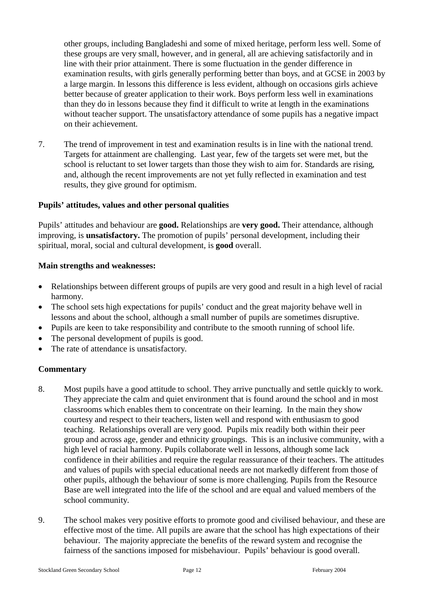other groups, including Bangladeshi and some of mixed heritage, perform less well. Some of these groups are very small, however, and in general, all are achieving satisfactorily and in line with their prior attainment. There is some fluctuation in the gender difference in examination results, with girls generally performing better than boys, and at GCSE in 2003 by a large margin. In lessons this difference is less evident, although on occasions girls achieve better because of greater application to their work. Boys perform less well in examinations than they do in lessons because they find it difficult to write at length in the examinations without teacher support. The unsatisfactory attendance of some pupils has a negative impact on their achievement.

7. The trend of improvement in test and examination results is in line with the national trend. Targets for attainment are challenging. Last year, few of the targets set were met, but the school is reluctant to set lower targets than those they wish to aim for. Standards are rising, and, although the recent improvements are not yet fully reflected in examination and test results, they give ground for optimism.

#### **Pupils' attitudes, values and other personal qualities**

Pupils' attitudes and behaviour are **good.** Relationships are **very good.** Their attendance, although improving, is **unsatisfactory.** The promotion of pupils' personal development, including their spiritual, moral, social and cultural development, is **good** overall.

#### **Main strengths and weaknesses:**

- Relationships between different groups of pupils are very good and result in a high level of racial harmony.
- The school sets high expectations for pupils' conduct and the great majority behave well in lessons and about the school, although a small number of pupils are sometimes disruptive.
- Pupils are keen to take responsibility and contribute to the smooth running of school life.
- The personal development of pupils is good.
- The rate of attendance is unsatisfactory.

- 8. Most pupils have a good attitude to school. They arrive punctually and settle quickly to work. They appreciate the calm and quiet environment that is found around the school and in most classrooms which enables them to concentrate on their learning. In the main they show courtesy and respect to their teachers, listen well and respond with enthusiasm to good teaching. Relationships overall are very good. Pupils mix readily both within their peer group and across age, gender and ethnicity groupings. This is an inclusive community, with a high level of racial harmony. Pupils collaborate well in lessons, although some lack confidence in their abilities and require the regular reassurance of their teachers. The attitudes and values of pupils with special educational needs are not markedly different from those of other pupils, although the behaviour of some is more challenging. Pupils from the Resource Base are well integrated into the life of the school and are equal and valued members of the school community.
- 9. The school makes very positive efforts to promote good and civilised behaviour, and these are effective most of the time. All pupils are aware that the school has high expectations of their behaviour. The majority appreciate the benefits of the reward system and recognise the fairness of the sanctions imposed for misbehaviour. Pupils' behaviour is good overall.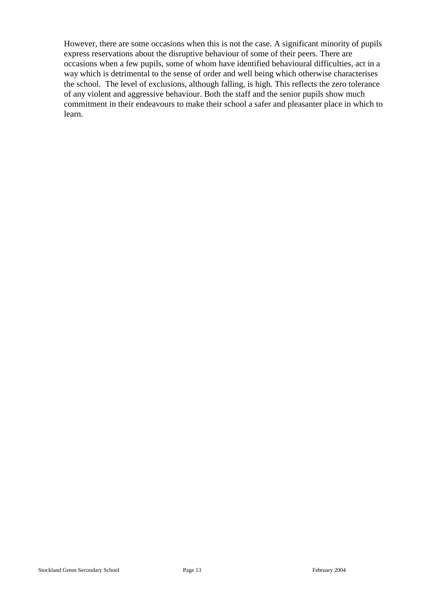However, there are some occasions when this is not the case. A significant minority of pupils express reservations about the disruptive behaviour of some of their peers. There are occasions when a few pupils, some of whom have identified behavioural difficulties, act in a way which is detrimental to the sense of order and well being which otherwise characterises the school. The level of exclusions, although falling, is high. This reflects the zero tolerance of any violent and aggressive behaviour. Both the staff and the senior pupils show much commitment in their endeavours to make their school a safer and pleasanter place in which to learn.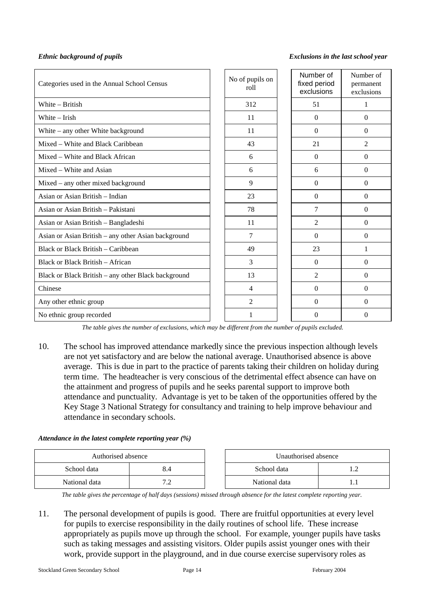#### *Ethnic background of pupils Exclusions in the last school year*

| Categories used in the Annual School Census         | No of pupils on<br>roll | Number of<br>fixed period<br>exclusions | Number of<br>permanent<br>exclusions |
|-----------------------------------------------------|-------------------------|-----------------------------------------|--------------------------------------|
| White - British                                     | 312                     | 51                                      | 1                                    |
| White – Irish                                       | 11                      | $\Omega$                                | $\Omega$                             |
| White - any other White background                  | 11                      | $\Omega$                                | $\Omega$                             |
| Mixed – White and Black Caribbean                   | 43                      | 21                                      | $\overline{2}$                       |
| Mixed – White and Black African                     | 6                       | $\Omega$                                | $\Omega$                             |
| Mixed – White and Asian                             | 6                       | 6                                       | $\Omega$                             |
| Mixed – any other mixed background                  | 9                       | $\Omega$                                | $\Omega$                             |
| Asian or Asian British – Indian                     | 23                      | $\Omega$                                | $\Omega$                             |
| Asian or Asian British – Pakistani                  | 78                      | 7                                       | $\Omega$                             |
| Asian or Asian British - Bangladeshi                | 11                      | $\mathfrak{D}$                          | $\Omega$                             |
| Asian or Asian British - any other Asian background | 7                       | $\Omega$                                | $\Omega$                             |
| Black or Black British – Caribbean                  | 49                      | 23                                      | 1                                    |
| Black or Black British – African                    | 3                       | $\Omega$                                | $\Omega$                             |
| Black or Black British – any other Black background | 13                      | $\mathfrak{D}$                          | $\Omega$                             |
| Chinese                                             | 4                       | $\Omega$                                | $\Omega$                             |
| Any other ethnic group                              | $\overline{2}$          | $\Omega$                                | $\Omega$                             |
| No ethnic group recorded                            | 1                       | 0                                       | $\Omega$                             |

*The table gives the number of exclusions, which may be different from the number of pupils excluded.*

10. The school has improved attendance markedly since the previous inspection although levels are not yet satisfactory and are below the national average. Unauthorised absence is above average. This is due in part to the practice of parents taking their children on holiday during term time. The headteacher is very conscious of the detrimental effect absence can have on the attainment and progress of pupils and he seeks parental support to improve both attendance and punctuality. Advantage is yet to be taken of the opportunities offered by the Key Stage 3 National Strategy for consultancy and training to help improve behaviour and attendance in secondary schools.

#### *Attendance in the latest complete reporting year (%)*

| Authorised absence |                          |  | Unauthorised absence |  |
|--------------------|--------------------------|--|----------------------|--|
| School data        | 8.4                      |  | School data          |  |
| National data      | $\overline{\phantom{0}}$ |  | National data        |  |

*The table gives the percentage of half days (sessions) missed through absence for the latest complete reporting year.*

11. The personal development of pupils is good. There are fruitful opportunities at every level for pupils to exercise responsibility in the daily routines of school life. These increase appropriately as pupils move up through the school. For example, younger pupils have tasks such as taking messages and assisting visitors. Older pupils assist younger ones with their work, provide support in the playground, and in due course exercise supervisory roles as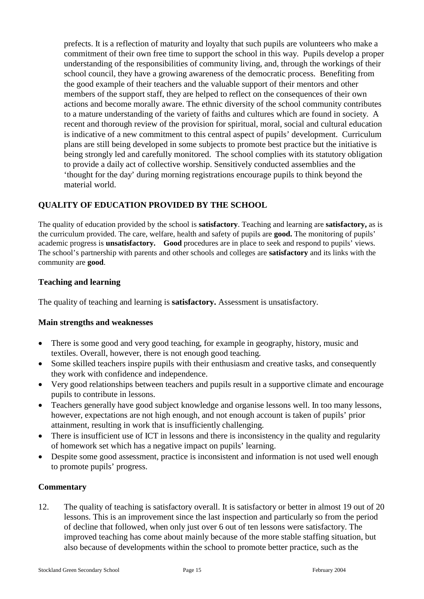prefects. It is a reflection of maturity and loyalty that such pupils are volunteers who make a commitment of their own free time to support the school in this way. Pupils develop a proper understanding of the responsibilities of community living, and, through the workings of their school council, they have a growing awareness of the democratic process. Benefiting from the good example of their teachers and the valuable support of their mentors and other members of the support staff, they are helped to reflect on the consequences of their own actions and become morally aware. The ethnic diversity of the school community contributes to a mature understanding of the variety of faiths and cultures which are found in society. A recent and thorough review of the provision for spiritual, moral, social and cultural education is indicative of a new commitment to this central aspect of pupils' development. Curriculum plans are still being developed in some subjects to promote best practice but the initiative is being strongly led and carefully monitored. The school complies with its statutory obligation to provide a daily act of collective worship. Sensitively conducted assemblies and the 'thought for the day' during morning registrations encourage pupils to think beyond the material world.

## **QUALITY OF EDUCATION PROVIDED BY THE SCHOOL**

The quality of education provided by the school is **satisfactory**. Teaching and learning are **satisfactory,** as is the curriculum provided. The care, welfare, health and safety of pupils are **good.** The monitoring of pupils' academic progress is **unsatisfactory. Good** procedures are in place to seek and respond to pupils' views. The school's partnership with parents and other schools and colleges are **satisfactory** and its links with the community are **good**.

#### **Teaching and learning**

The quality of teaching and learning is **satisfactory.** Assessment is unsatisfactory.

#### **Main strengths and weaknesses**

- There is some good and very good teaching, for example in geography, history, music and textiles. Overall, however, there is not enough good teaching.
- Some skilled teachers inspire pupils with their enthusiasm and creative tasks, and consequently they work with confidence and independence.
- Very good relationships between teachers and pupils result in a supportive climate and encourage pupils to contribute in lessons.
- Teachers generally have good subject knowledge and organise lessons well. In too many lessons, however, expectations are not high enough, and not enough account is taken of pupils' prior attainment, resulting in work that is insufficiently challenging.
- There is insufficient use of ICT in lessons and there is inconsistency in the quality and regularity of homework set which has a negative impact on pupils' learning.
- Despite some good assessment, practice is inconsistent and information is not used well enough to promote pupils' progress.

## **Commentary**

12. The quality of teaching is satisfactory overall. It is satisfactory or better in almost 19 out of 20 lessons. This is an improvement since the last inspection and particularly so from the period of decline that followed, when only just over 6 out of ten lessons were satisfactory. The improved teaching has come about mainly because of the more stable staffing situation, but also because of developments within the school to promote better practice, such as the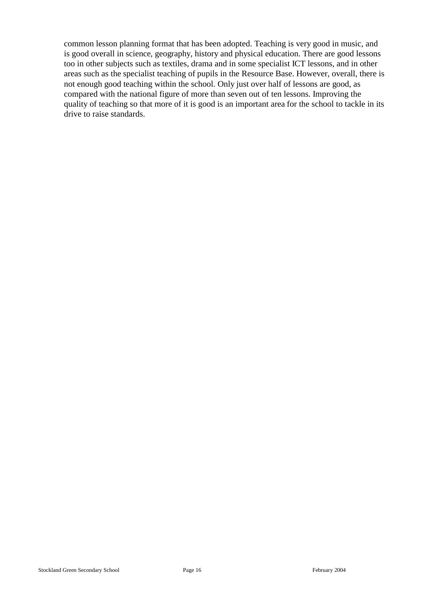common lesson planning format that has been adopted. Teaching is very good in music, and is good overall in science, geography, history and physical education. There are good lessons too in other subjects such as textiles, drama and in some specialist ICT lessons, and in other areas such as the specialist teaching of pupils in the Resource Base. However, overall, there is not enough good teaching within the school. Only just over half of lessons are good, as compared with the national figure of more than seven out of ten lessons. Improving the quality of teaching so that more of it is good is an important area for the school to tackle in its drive to raise standards.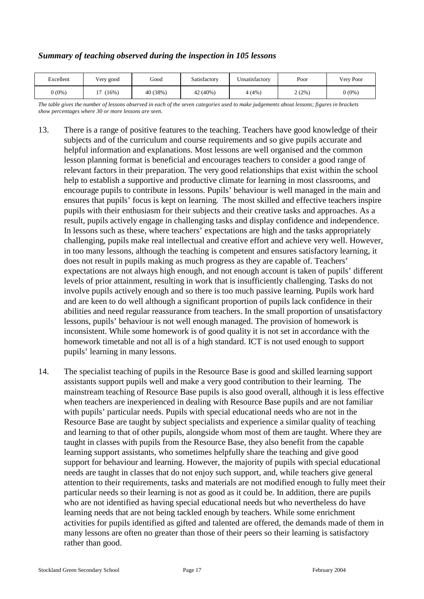#### *Summary of teaching observed during the inspection in 105 lessons*

| Excellent | Very good | Good     | Satisfactory | Unsatisfactory | Poor  | Very Poor |
|-----------|-----------|----------|--------------|----------------|-------|-----------|
| $0(0\%)$  | (16%)     | 40 (38%) | 42 (40%)     | 4 (4%)         | 2(2%) | $0(0\%)$  |

*The table gives the number of lessons observed in each of the seven categories used to make judgements about lessons; figures in brackets show percentages where 30 or more lessons are seen.*

- 13. There is a range of positive features to the teaching. Teachers have good knowledge of their subjects and of the curriculum and course requirements and so give pupils accurate and helpful information and explanations. Most lessons are well organised and the common lesson planning format is beneficial and encourages teachers to consider a good range of relevant factors in their preparation. The very good relationships that exist within the school help to establish a supportive and productive climate for learning in most classrooms, and encourage pupils to contribute in lessons. Pupils' behaviour is well managed in the main and ensures that pupils' focus is kept on learning. The most skilled and effective teachers inspire pupils with their enthusiasm for their subjects and their creative tasks and approaches. As a result, pupils actively engage in challenging tasks and display confidence and independence. In lessons such as these, where teachers' expectations are high and the tasks appropriately challenging, pupils make real intellectual and creative effort and achieve very well. However, in too many lessons, although the teaching is competent and ensures satisfactory learning, it does not result in pupils making as much progress as they are capable of. Teachers' expectations are not always high enough, and not enough account is taken of pupils' different levels of prior attainment, resulting in work that is insufficiently challenging. Tasks do not involve pupils actively enough and so there is too much passive learning. Pupils work hard and are keen to do well although a significant proportion of pupils lack confidence in their abilities and need regular reassurance from teachers. In the small proportion of unsatisfactory lessons, pupils' behaviour is not well enough managed. The provision of homework is inconsistent. While some homework is of good quality it is not set in accordance with the homework timetable and not all is of a high standard. ICT is not used enough to support pupils' learning in many lessons.
- 14. The specialist teaching of pupils in the Resource Base is good and skilled learning support assistants support pupils well and make a very good contribution to their learning. The mainstream teaching of Resource Base pupils is also good overall, although it is less effective when teachers are inexperienced in dealing with Resource Base pupils and are not familiar with pupils' particular needs. Pupils with special educational needs who are not in the Resource Base are taught by subject specialists and experience a similar quality of teaching and learning to that of other pupils, alongside whom most of them are taught. Where they are taught in classes with pupils from the Resource Base, they also benefit from the capable learning support assistants, who sometimes helpfully share the teaching and give good support for behaviour and learning. However, the majority of pupils with special educational needs are taught in classes that do not enjoy such support, and, while teachers give general attention to their requirements, tasks and materials are not modified enough to fully meet their particular needs so their learning is not as good as it could be. In addition, there are pupils who are not identified as having special educational needs but who nevertheless do have learning needs that are not being tackled enough by teachers. While some enrichment activities for pupils identified as gifted and talented are offered, the demands made of them in many lessons are often no greater than those of their peers so their learning is satisfactory rather than good.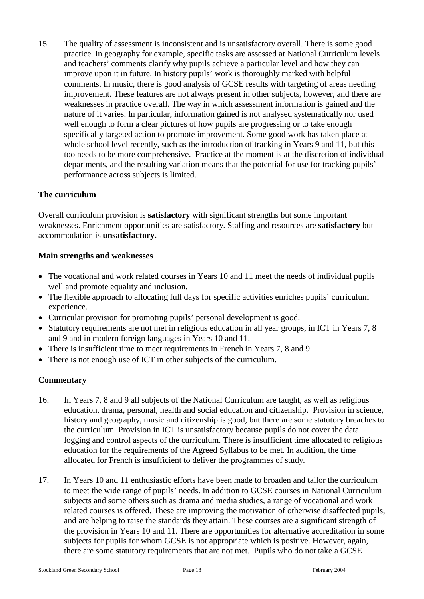15. The quality of assessment is inconsistent and is unsatisfactory overall. There is some good practice. In geography for example, specific tasks are assessed at National Curriculum levels and teachers' comments clarify why pupils achieve a particular level and how they can improve upon it in future. In history pupils' work is thoroughly marked with helpful comments. In music, there is good analysis of GCSE results with targeting of areas needing improvement. These features are not always present in other subjects, however, and there are weaknesses in practice overall. The way in which assessment information is gained and the nature of it varies. In particular, information gained is not analysed systematically nor used well enough to form a clear pictures of how pupils are progressing or to take enough specifically targeted action to promote improvement. Some good work has taken place at whole school level recently, such as the introduction of tracking in Years 9 and 11, but this too needs to be more comprehensive. Practice at the moment is at the discretion of individual departments, and the resulting variation means that the potential for use for tracking pupils' performance across subjects is limited.

#### **The curriculum**

Overall curriculum provision is **satisfactory** with significant strengths but some important weaknesses. Enrichment opportunities are satisfactory. Staffing and resources are **satisfactory** but accommodation is **unsatisfactory.**

#### **Main strengths and weaknesses**

- The vocational and work related courses in Years 10 and 11 meet the needs of individual pupils well and promote equality and inclusion.
- The flexible approach to allocating full days for specific activities enriches pupils' curriculum experience.
- Curricular provision for promoting pupils' personal development is good.
- Statutory requirements are not met in religious education in all year groups, in ICT in Years 7, 8 and 9 and in modern foreign languages in Years 10 and 11.
- There is insufficient time to meet requirements in French in Years 7, 8 and 9.
- There is not enough use of ICT in other subjects of the curriculum.

- 16. In Years 7, 8 and 9 all subjects of the National Curriculum are taught, as well as religious education, drama, personal, health and social education and citizenship. Provision in science, history and geography, music and citizenship is good, but there are some statutory breaches to the curriculum. Provision in ICT is unsatisfactory because pupils do not cover the data logging and control aspects of the curriculum. There is insufficient time allocated to religious education for the requirements of the Agreed Syllabus to be met. In addition, the time allocated for French is insufficient to deliver the programmes of study.
- 17. In Years 10 and 11 enthusiastic efforts have been made to broaden and tailor the curriculum to meet the wide range of pupils' needs. In addition to GCSE courses in National Curriculum subjects and some others such as drama and media studies, a range of vocational and work related courses is offered. These are improving the motivation of otherwise disaffected pupils, and are helping to raise the standards they attain. These courses are a significant strength of the provision in Years 10 and 11. There are opportunities for alternative accreditation in some subjects for pupils for whom GCSE is not appropriate which is positive. However, again, there are some statutory requirements that are not met. Pupils who do not take a GCSE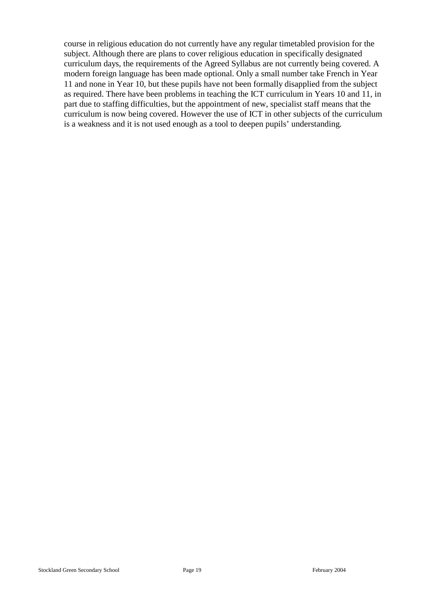course in religious education do not currently have any regular timetabled provision for the subject. Although there are plans to cover religious education in specifically designated curriculum days, the requirements of the Agreed Syllabus are not currently being covered. A modern foreign language has been made optional. Only a small number take French in Year 11 and none in Year 10, but these pupils have not been formally disapplied from the subject as required. There have been problems in teaching the ICT curriculum in Years 10 and 11, in part due to staffing difficulties, but the appointment of new, specialist staff means that the curriculum is now being covered. However the use of ICT in other subjects of the curriculum is a weakness and it is not used enough as a tool to deepen pupils' understanding.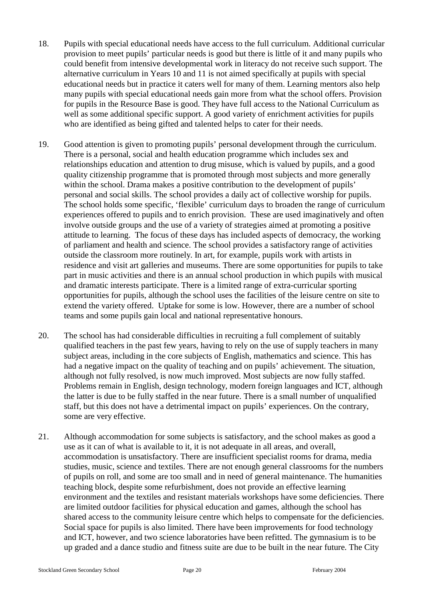- 18. Pupils with special educational needs have access to the full curriculum. Additional curricular provision to meet pupils' particular needs is good but there is little of it and many pupils who could benefit from intensive developmental work in literacy do not receive such support. The alternative curriculum in Years 10 and 11 is not aimed specifically at pupils with special educational needs but in practice it caters well for many of them. Learning mentors also help many pupils with special educational needs gain more from what the school offers. Provision for pupils in the Resource Base is good. They have full access to the National Curriculum as well as some additional specific support. A good variety of enrichment activities for pupils who are identified as being gifted and talented helps to cater for their needs.
- 19. Good attention is given to promoting pupils' personal development through the curriculum. There is a personal, social and health education programme which includes sex and relationships education and attention to drug misuse, which is valued by pupils, and a good quality citizenship programme that is promoted through most subjects and more generally within the school. Drama makes a positive contribution to the development of pupils' personal and social skills. The school provides a daily act of collective worship for pupils. The school holds some specific, 'flexible' curriculum days to broaden the range of curriculum experiences offered to pupils and to enrich provision. These are used imaginatively and often involve outside groups and the use of a variety of strategies aimed at promoting a positive attitude to learning. The focus of these days has included aspects of democracy, the working of parliament and health and science. The school provides a satisfactory range of activities outside the classroom more routinely. In art, for example, pupils work with artists in residence and visit art galleries and museums. There are some opportunities for pupils to take part in music activities and there is an annual school production in which pupils with musical and dramatic interests participate. There is a limited range of extra-curricular sporting opportunities for pupils, although the school uses the facilities of the leisure centre on site to extend the variety offered. Uptake for some is low. However, there are a number of school teams and some pupils gain local and national representative honours.
- 20. The school has had considerable difficulties in recruiting a full complement of suitably qualified teachers in the past few years, having to rely on the use of supply teachers in many subject areas, including in the core subjects of English, mathematics and science. This has had a negative impact on the quality of teaching and on pupils' achievement. The situation, although not fully resolved, is now much improved. Most subjects are now fully staffed. Problems remain in English, design technology, modern foreign languages and ICT, although the latter is due to be fully staffed in the near future. There is a small number of unqualified staff, but this does not have a detrimental impact on pupils' experiences. On the contrary, some are very effective.
- 21. Although accommodation for some subjects is satisfactory, and the school makes as good a use as it can of what is available to it, it is not adequate in all areas, and overall, accommodation is unsatisfactory. There are insufficient specialist rooms for drama, media studies, music, science and textiles. There are not enough general classrooms for the numbers of pupils on roll, and some are too small and in need of general maintenance. The humanities teaching block, despite some refurbishment, does not provide an effective learning environment and the textiles and resistant materials workshops have some deficiencies. There are limited outdoor facilities for physical education and games, although the school has shared access to the community leisure centre which helps to compensate for the deficiencies. Social space for pupils is also limited. There have been improvements for food technology and ICT, however, and two science laboratories have been refitted. The gymnasium is to be up graded and a dance studio and fitness suite are due to be built in the near future. The City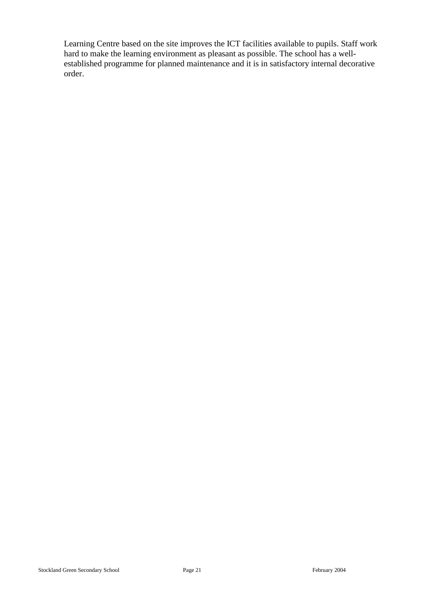Learning Centre based on the site improves the ICT facilities available to pupils. Staff work hard to make the learning environment as pleasant as possible. The school has a wellestablished programme for planned maintenance and it is in satisfactory internal decorative order.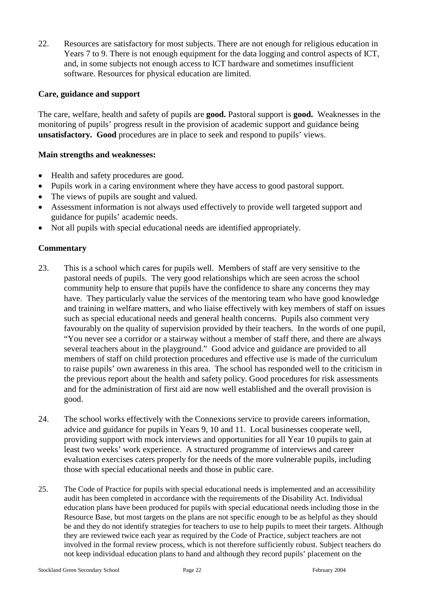22. Resources are satisfactory for most subjects. There are not enough for religious education in Years 7 to 9. There is not enough equipment for the data logging and control aspects of ICT, and, in some subjects not enough access to ICT hardware and sometimes insufficient software. Resources for physical education are limited.

#### **Care, guidance and support**

The care, welfare, health and safety of pupils are **good.** Pastoral support is **good.** Weaknesses in the monitoring of pupils' progress result in the provision of academic support and guidance being **unsatisfactory. Good** procedures are in place to seek and respond to pupils' views.

#### **Main strengths and weaknesses:**

- Health and safety procedures are good.
- Pupils work in a caring environment where they have access to good pastoral support.
- The views of pupils are sought and valued.
- Assessment information is not always used effectively to provide well targeted support and guidance for pupils' academic needs.
- Not all pupils with special educational needs are identified appropriately.

- 23. This is a school which cares for pupils well. Members of staff are very sensitive to the pastoral needs of pupils. The very good relationships which are seen across the school community help to ensure that pupils have the confidence to share any concerns they may have. They particularly value the services of the mentoring team who have good knowledge and training in welfare matters, and who liaise effectively with key members of staff on issues such as special educational needs and general health concerns. Pupils also comment very favourably on the quality of supervision provided by their teachers. In the words of one pupil, "You never see a corridor or a stairway without a member of staff there, and there are always several teachers about in the playground." Good advice and guidance are provided to all members of staff on child protection procedures and effective use is made of the curriculum to raise pupils' own awareness in this area. The school has responded well to the criticism in the previous report about the health and safety policy. Good procedures for risk assessments and for the administration of first aid are now well established and the overall provision is good.
- 24. The school works effectively with the Connexions service to provide careers information, advice and guidance for pupils in Years 9, 10 and 11. Local businesses cooperate well, providing support with mock interviews and opportunities for all Year 10 pupils to gain at least two weeks' work experience. A structured programme of interviews and career evaluation exercises caters properly for the needs of the more vulnerable pupils, including those with special educational needs and those in public care.
- 25. The Code of Practice for pupils with special educational needs is implemented and an accessibility audit has been completed in accordance with the requirements of the Disability Act. Individual education plans have been produced for pupils with special educational needs including those in the Resource Base, but most targets on the plans are not specific enough to be as helpful as they should be and they do not identify strategies for teachers to use to help pupils to meet their targets. Although they are reviewed twice each year as required by the Code of Practice, subject teachers are not involved in the formal review process, which is not therefore sufficiently robust. Subject teachers do not keep individual education plans to hand and although they record pupils' placement on the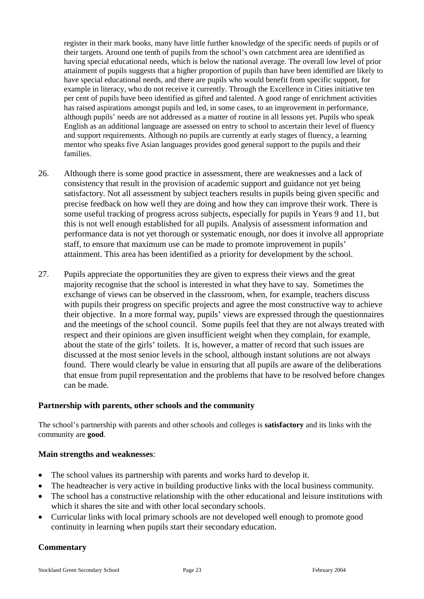register in their mark books, many have little further knowledge of the specific needs of pupils or of their targets. Around one tenth of pupils from the school's own catchment area are identified as having special educational needs, which is below the national average. The overall low level of prior attainment of pupils suggests that a higher proportion of pupils than have been identified are likely to have special educational needs, and there are pupils who would benefit from specific support, for example in literacy, who do not receive it currently. Through the Excellence in Cities initiative ten per cent of pupils have been identified as gifted and talented. A good range of enrichment activities has raised aspirations amongst pupils and led, in some cases, to an improvement in performance, although pupils' needs are not addressed as a matter of routine in all lessons yet. Pupils who speak English as an additional language are assessed on entry to school to ascertain their level of fluency and support requirements. Although no pupils are currently at early stages of fluency, a learning mentor who speaks five Asian languages provides good general support to the pupils and their families.

- 26. Although there is some good practice in assessment, there are weaknesses and a lack of consistency that result in the provision of academic support and guidance not yet being satisfactory. Not all assessment by subject teachers results in pupils being given specific and precise feedback on how well they are doing and how they can improve their work. There is some useful tracking of progress across subjects, especially for pupils in Years 9 and 11, but this is not well enough established for all pupils. Analysis of assessment information and performance data is not yet thorough or systematic enough, nor does it involve all appropriate staff, to ensure that maximum use can be made to promote improvement in pupils' attainment. This area has been identified as a priority for development by the school.
- 27. Pupils appreciate the opportunities they are given to express their views and the great majority recognise that the school is interested in what they have to say. Sometimes the exchange of views can be observed in the classroom, when, for example, teachers discuss with pupils their progress on specific projects and agree the most constructive way to achieve their objective. In a more formal way, pupils' views are expressed through the questionnaires and the meetings of the school council. Some pupils feel that they are not always treated with respect and their opinions are given insufficient weight when they complain, for example, about the state of the girls' toilets. It is, however, a matter of record that such issues are discussed at the most senior levels in the school, although instant solutions are not always found. There would clearly be value in ensuring that all pupils are aware of the deliberations that ensue from pupil representation and the problems that have to be resolved before changes can be made.

#### **Partnership with parents, other schools and the community**

The school's partnership with parents and other schools and colleges is **satisfactory** and its links with the community are **good**.

#### **Main strengths and weaknesses**:

- The school values its partnership with parents and works hard to develop it.
- The headteacher is very active in building productive links with the local business community.
- The school has a constructive relationship with the other educational and leisure institutions with which it shares the site and with other local secondary schools.
- Curricular links with local primary schools are not developed well enough to promote good continuity in learning when pupils start their secondary education.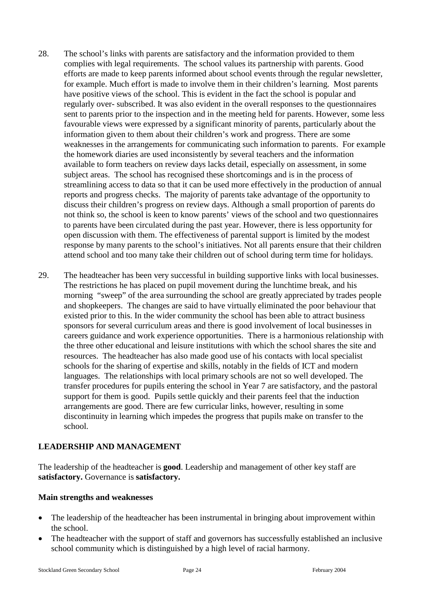- 28. The school's links with parents are satisfactory and the information provided to them complies with legal requirements. The school values its partnership with parents. Good efforts are made to keep parents informed about school events through the regular newsletter, for example. Much effort is made to involve them in their children's learning. Most parents have positive views of the school. This is evident in the fact the school is popular and regularly over- subscribed. It was also evident in the overall responses to the questionnaires sent to parents prior to the inspection and in the meeting held for parents. However, some less favourable views were expressed by a significant minority of parents, particularly about the information given to them about their children's work and progress. There are some weaknesses in the arrangements for communicating such information to parents. For example the homework diaries are used inconsistently by several teachers and the information available to form teachers on review days lacks detail, especially on assessment, in some subject areas. The school has recognised these shortcomings and is in the process of streamlining access to data so that it can be used more effectively in the production of annual reports and progress checks. The majority of parents take advantage of the opportunity to discuss their children's progress on review days. Although a small proportion of parents do not think so, the school is keen to know parents' views of the school and two questionnaires to parents have been circulated during the past year. However, there is less opportunity for open discussion with them. The effectiveness of parental support is limited by the modest response by many parents to the school's initiatives. Not all parents ensure that their children attend school and too many take their children out of school during term time for holidays.
- 29. The headteacher has been very successful in building supportive links with local businesses. The restrictions he has placed on pupil movement during the lunchtime break, and his morning "sweep" of the area surrounding the school are greatly appreciated by trades people and shopkeepers. The changes are said to have virtually eliminated the poor behaviour that existed prior to this. In the wider community the school has been able to attract business sponsors for several curriculum areas and there is good involvement of local businesses in careers guidance and work experience opportunities. There is a harmonious relationship with the three other educational and leisure institutions with which the school shares the site and resources. The headteacher has also made good use of his contacts with local specialist schools for the sharing of expertise and skills, notably in the fields of ICT and modern languages. The relationships with local primary schools are not so well developed. The transfer procedures for pupils entering the school in Year 7 are satisfactory, and the pastoral support for them is good. Pupils settle quickly and their parents feel that the induction arrangements are good. There are few curricular links, however, resulting in some discontinuity in learning which impedes the progress that pupils make on transfer to the school.

## **LEADERSHIP AND MANAGEMENT**

The leadership of the headteacher is **good**. Leadership and management of other key staff are **satisfactory.** Governance is **satisfactory.** 

#### **Main strengths and weaknesses**

- The leadership of the headteacher has been instrumental in bringing about improvement within the school.
- The headteacher with the support of staff and governors has successfully established an inclusive school community which is distinguished by a high level of racial harmony.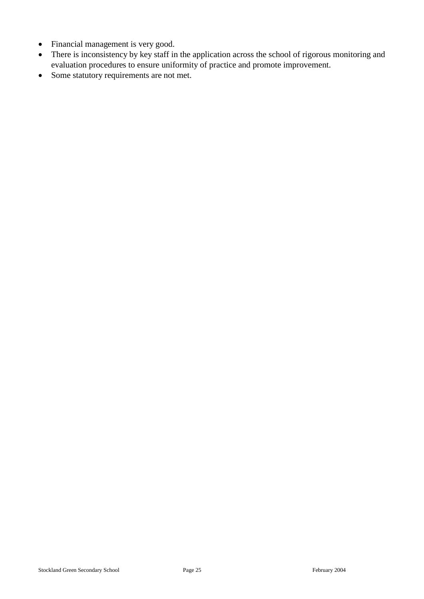- Financial management is very good.
- There is inconsistency by key staff in the application across the school of rigorous monitoring and evaluation procedures to ensure uniformity of practice and promote improvement.
- Some statutory requirements are not met.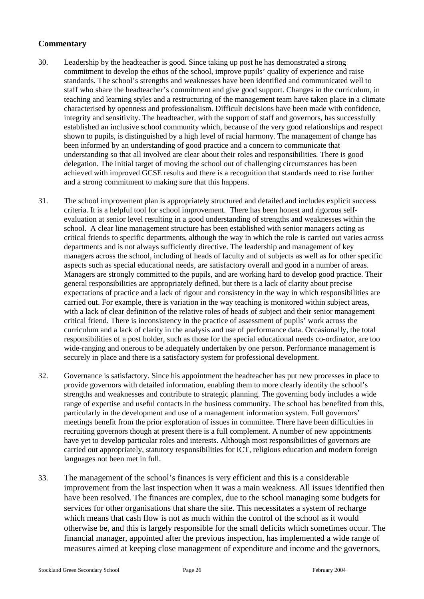- 30. Leadership by the headteacher is good. Since taking up post he has demonstrated a strong commitment to develop the ethos of the school, improve pupils' quality of experience and raise standards. The school's strengths and weaknesses have been identified and communicated well to staff who share the headteacher's commitment and give good support. Changes in the curriculum, in teaching and learning styles and a restructuring of the management team have taken place in a climate characterised by openness and professionalism. Difficult decisions have been made with confidence, integrity and sensitivity. The headteacher, with the support of staff and governors, has successfully established an inclusive school community which, because of the very good relationships and respect shown to pupils, is distinguished by a high level of racial harmony. The management of change has been informed by an understanding of good practice and a concern to communicate that understanding so that all involved are clear about their roles and responsibilities. There is good delegation. The initial target of moving the school out of challenging circumstances has been achieved with improved GCSE results and there is a recognition that standards need to rise further and a strong commitment to making sure that this happens.
- 31. The school improvement plan is appropriately structured and detailed and includes explicit success criteria. It is a helpful tool for school improvement. There has been honest and rigorous selfevaluation at senior level resulting in a good understanding of strengths and weaknesses within the school. A clear line management structure has been established with senior managers acting as critical friends to specific departments, although the way in which the role is carried out varies across departments and is not always sufficiently directive. The leadership and management of key managers across the school, including of heads of faculty and of subjects as well as for other specific aspects such as special educational needs, are satisfactory overall and good in a number of areas. Managers are strongly committed to the pupils, and are working hard to develop good practice. Their general responsibilities are appropriately defined, but there is a lack of clarity about precise expectations of practice and a lack of rigour and consistency in the way in which responsibilities are carried out. For example, there is variation in the way teaching is monitored within subject areas, with a lack of clear definition of the relative roles of heads of subject and their senior management critical friend. There is inconsistency in the practice of assessment of pupils' work across the curriculum and a lack of clarity in the analysis and use of performance data. Occasionally, the total responsibilities of a post holder, such as those for the special educational needs co-ordinator, are too wide-ranging and onerous to be adequately undertaken by one person. Performance management is securely in place and there is a satisfactory system for professional development.
- 32. Governance is satisfactory. Since his appointment the headteacher has put new processes in place to provide governors with detailed information, enabling them to more clearly identify the school's strengths and weaknesses and contribute to strategic planning. The governing body includes a wide range of expertise and useful contacts in the business community. The school has benefited from this, particularly in the development and use of a management information system. Full governors' meetings benefit from the prior exploration of issues in committee. There have been difficulties in recruiting governors though at present there is a full complement. A number of new appointments have yet to develop particular roles and interests. Although most responsibilities of governors are carried out appropriately, statutory responsibilities for ICT, religious education and modern foreign languages not been met in full.
- 33. The management of the school's finances is very efficient and this is a considerable improvement from the last inspection when it was a main weakness. All issues identified then have been resolved. The finances are complex, due to the school managing some budgets for services for other organisations that share the site. This necessitates a system of recharge which means that cash flow is not as much within the control of the school as it would otherwise be, and this is largely responsible for the small deficits which sometimes occur. The financial manager, appointed after the previous inspection, has implemented a wide range of measures aimed at keeping close management of expenditure and income and the governors,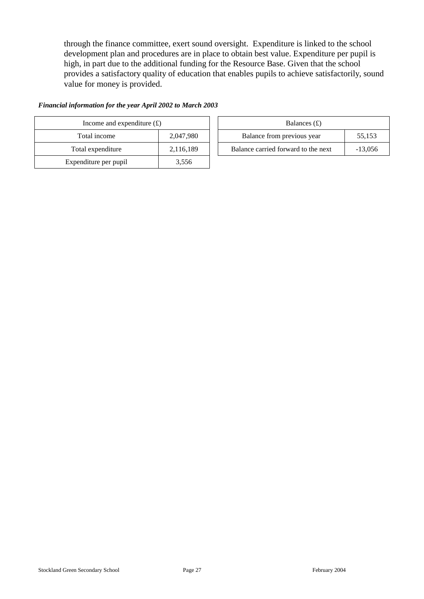through the finance committee, exert sound oversight. Expenditure is linked to the school development plan and procedures are in place to obtain best value. Expenditure per pupil is high, in part due to the additional funding for the Resource Base. Given that the school provides a satisfactory quality of education that enables pupils to achieve satisfactorily, sound value for money is provided.

| Income and expenditure $(E)$ |           |  | Balances $(f)$                   |
|------------------------------|-----------|--|----------------------------------|
| Total income                 | 2,047,980 |  | Balance from previous year       |
| Total expenditure            | 2,116,189 |  | Balance carried forward to the r |
| Expenditure per pupil        | 3,556     |  |                                  |

| Financial information for the year April 2002 to March 2003 |  |  |  |  |
|-------------------------------------------------------------|--|--|--|--|
|                                                             |  |  |  |  |

| Income and expenditure $(f)$ |           |  | Balances $(f)$                      |           |  |  |
|------------------------------|-----------|--|-------------------------------------|-----------|--|--|
| Total income                 | 2.047.980 |  | Balance from previous year          | 55,153    |  |  |
| Total expenditure            | 2,116,189 |  | Balance carried forward to the next | $-13.056$ |  |  |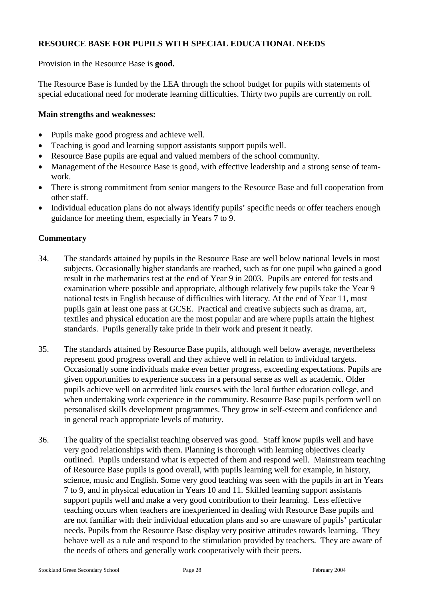## **RESOURCE BASE FOR PUPILS WITH SPECIAL EDUCATIONAL NEEDS**

Provision in the Resource Base is **good.**

The Resource Base is funded by the LEA through the school budget for pupils with statements of special educational need for moderate learning difficulties. Thirty two pupils are currently on roll.

#### **Main strengths and weaknesses:**

- Pupils make good progress and achieve well.
- Teaching is good and learning support assistants support pupils well.
- Resource Base pupils are equal and valued members of the school community.
- Management of the Resource Base is good, with effective leadership and a strong sense of teamwork.
- There is strong commitment from senior mangers to the Resource Base and full cooperation from other staff.
- Individual education plans do not always identify pupils' specific needs or offer teachers enough guidance for meeting them, especially in Years 7 to 9.

- 34. The standards attained by pupils in the Resource Base are well below national levels in most subjects. Occasionally higher standards are reached, such as for one pupil who gained a good result in the mathematics test at the end of Year 9 in 2003. Pupils are entered for tests and examination where possible and appropriate, although relatively few pupils take the Year 9 national tests in English because of difficulties with literacy. At the end of Year 11, most pupils gain at least one pass at GCSE. Practical and creative subjects such as drama, art, textiles and physical education are the most popular and are where pupils attain the highest standards. Pupils generally take pride in their work and present it neatly.
- 35. The standards attained by Resource Base pupils, although well below average, nevertheless represent good progress overall and they achieve well in relation to individual targets. Occasionally some individuals make even better progress, exceeding expectations. Pupils are given opportunities to experience success in a personal sense as well as academic. Older pupils achieve well on accredited link courses with the local further education college, and when undertaking work experience in the community. Resource Base pupils perform well on personalised skills development programmes. They grow in self-esteem and confidence and in general reach appropriate levels of maturity.
- 36. The quality of the specialist teaching observed was good. Staff know pupils well and have very good relationships with them. Planning is thorough with learning objectives clearly outlined. Pupils understand what is expected of them and respond well. Mainstream teaching of Resource Base pupils is good overall, with pupils learning well for example, in history, science, music and English. Some very good teaching was seen with the pupils in art in Years 7 to 9, and in physical education in Years 10 and 11. Skilled learning support assistants support pupils well and make a very good contribution to their learning. Less effective teaching occurs when teachers are inexperienced in dealing with Resource Base pupils and are not familiar with their individual education plans and so are unaware of pupils' particular needs. Pupils from the Resource Base display very positive attitudes towards learning. They behave well as a rule and respond to the stimulation provided by teachers. They are aware of the needs of others and generally work cooperatively with their peers.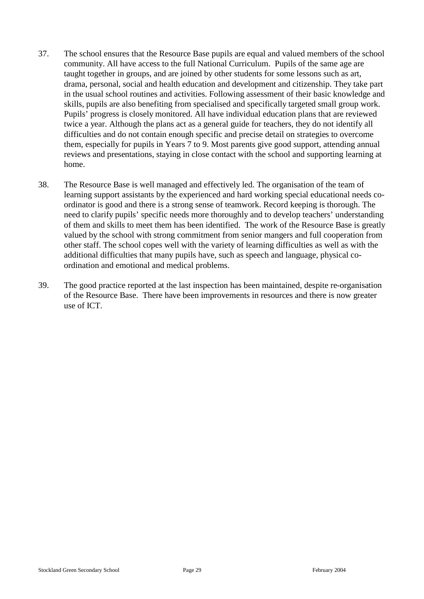- 37. The school ensures that the Resource Base pupils are equal and valued members of the school community. All have access to the full National Curriculum. Pupils of the same age are taught together in groups, and are joined by other students for some lessons such as art, drama, personal, social and health education and development and citizenship. They take part in the usual school routines and activities. Following assessment of their basic knowledge and skills, pupils are also benefiting from specialised and specifically targeted small group work. Pupils' progress is closely monitored. All have individual education plans that are reviewed twice a year. Although the plans act as a general guide for teachers, they do not identify all difficulties and do not contain enough specific and precise detail on strategies to overcome them, especially for pupils in Years 7 to 9. Most parents give good support, attending annual reviews and presentations, staying in close contact with the school and supporting learning at home.
- 38. The Resource Base is well managed and effectively led. The organisation of the team of learning support assistants by the experienced and hard working special educational needs coordinator is good and there is a strong sense of teamwork. Record keeping is thorough. The need to clarify pupils' specific needs more thoroughly and to develop teachers' understanding of them and skills to meet them has been identified. The work of the Resource Base is greatly valued by the school with strong commitment from senior mangers and full cooperation from other staff. The school copes well with the variety of learning difficulties as well as with the additional difficulties that many pupils have, such as speech and language, physical coordination and emotional and medical problems.
- 39. The good practice reported at the last inspection has been maintained, despite re-organisation of the Resource Base. There have been improvements in resources and there is now greater use of ICT.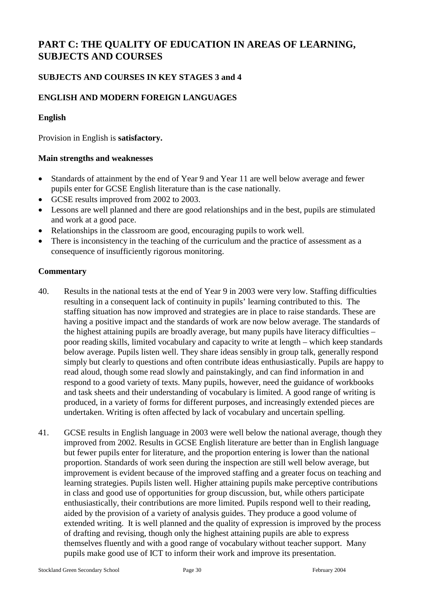# **PART C: THE QUALITY OF EDUCATION IN AREAS OF LEARNING, SUBJECTS AND COURSES**

# **SUBJECTS AND COURSES IN KEY STAGES 3 and 4**

# **ENGLISH AND MODERN FOREIGN LANGUAGES**

#### **English**

Provision in English is **satisfactory.**

#### **Main strengths and weaknesses**

- Standards of attainment by the end of Year 9 and Year 11 are well below average and fewer pupils enter for GCSE English literature than is the case nationally.
- GCSE results improved from 2002 to 2003.
- Lessons are well planned and there are good relationships and in the best, pupils are stimulated and work at a good pace.
- Relationships in the classroom are good, encouraging pupils to work well.
- There is inconsistency in the teaching of the curriculum and the practice of assessment as a consequence of insufficiently rigorous monitoring.

- 40. Results in the national tests at the end of Year 9 in 2003 were very low. Staffing difficulties resulting in a consequent lack of continuity in pupils' learning contributed to this. The staffing situation has now improved and strategies are in place to raise standards. These are having a positive impact and the standards of work are now below average. The standards of the highest attaining pupils are broadly average, but many pupils have literacy difficulties – poor reading skills, limited vocabulary and capacity to write at length – which keep standards below average. Pupils listen well. They share ideas sensibly in group talk, generally respond simply but clearly to questions and often contribute ideas enthusiastically. Pupils are happy to read aloud, though some read slowly and painstakingly, and can find information in and respond to a good variety of texts. Many pupils, however, need the guidance of workbooks and task sheets and their understanding of vocabulary is limited. A good range of writing is produced, in a variety of forms for different purposes, and increasingly extended pieces are undertaken. Writing is often affected by lack of vocabulary and uncertain spelling.
- 41. GCSE results in English language in 2003 were well below the national average, though they improved from 2002. Results in GCSE English literature are better than in English language but fewer pupils enter for literature, and the proportion entering is lower than the national proportion. Standards of work seen during the inspection are still well below average, but improvement is evident because of the improved staffing and a greater focus on teaching and learning strategies. Pupils listen well. Higher attaining pupils make perceptive contributions in class and good use of opportunities for group discussion, but, while others participate enthusiastically, their contributions are more limited. Pupils respond well to their reading, aided by the provision of a variety of analysis guides. They produce a good volume of extended writing. It is well planned and the quality of expression is improved by the process of drafting and revising, though only the highest attaining pupils are able to express themselves fluently and with a good range of vocabulary without teacher support. Many pupils make good use of ICT to inform their work and improve its presentation.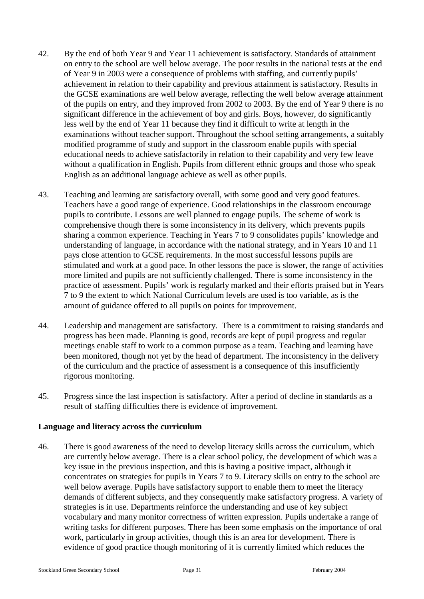- 42. By the end of both Year 9 and Year 11 achievement is satisfactory. Standards of attainment on entry to the school are well below average. The poor results in the national tests at the end of Year 9 in 2003 were a consequence of problems with staffing, and currently pupils' achievement in relation to their capability and previous attainment is satisfactory. Results in the GCSE examinations are well below average, reflecting the well below average attainment of the pupils on entry, and they improved from 2002 to 2003. By the end of Year 9 there is no significant difference in the achievement of boy and girls. Boys, however, do significantly less well by the end of Year 11 because they find it difficult to write at length in the examinations without teacher support. Throughout the school setting arrangements, a suitably modified programme of study and support in the classroom enable pupils with special educational needs to achieve satisfactorily in relation to their capability and very few leave without a qualification in English. Pupils from different ethnic groups and those who speak English as an additional language achieve as well as other pupils.
- 43. Teaching and learning are satisfactory overall, with some good and very good features. Teachers have a good range of experience. Good relationships in the classroom encourage pupils to contribute. Lessons are well planned to engage pupils. The scheme of work is comprehensive though there is some inconsistency in its delivery, which prevents pupils sharing a common experience. Teaching in Years 7 to 9 consolidates pupils' knowledge and understanding of language, in accordance with the national strategy, and in Years 10 and 11 pays close attention to GCSE requirements. In the most successful lessons pupils are stimulated and work at a good pace. In other lessons the pace is slower, the range of activities more limited and pupils are not sufficiently challenged. There is some inconsistency in the practice of assessment. Pupils' work is regularly marked and their efforts praised but in Years 7 to 9 the extent to which National Curriculum levels are used is too variable, as is the amount of guidance offered to all pupils on points for improvement.
- 44. Leadership and management are satisfactory. There is a commitment to raising standards and progress has been made. Planning is good, records are kept of pupil progress and regular meetings enable staff to work to a common purpose as a team. Teaching and learning have been monitored, though not yet by the head of department. The inconsistency in the delivery of the curriculum and the practice of assessment is a consequence of this insufficiently rigorous monitoring.
- 45. Progress since the last inspection is satisfactory. After a period of decline in standards as a result of staffing difficulties there is evidence of improvement.

#### **Language and literacy across the curriculum**

46. There is good awareness of the need to develop literacy skills across the curriculum, which are currently below average. There is a clear school policy, the development of which was a key issue in the previous inspection, and this is having a positive impact, although it concentrates on strategies for pupils in Years 7 to 9. Literacy skills on entry to the school are well below average. Pupils have satisfactory support to enable them to meet the literacy demands of different subjects, and they consequently make satisfactory progress. A variety of strategies is in use. Departments reinforce the understanding and use of key subject vocabulary and many monitor correctness of written expression. Pupils undertake a range of writing tasks for different purposes. There has been some emphasis on the importance of oral work, particularly in group activities, though this is an area for development. There is evidence of good practice though monitoring of it is currently limited which reduces the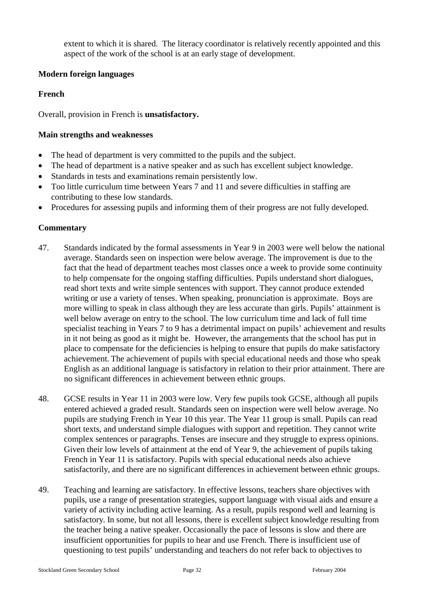extent to which it is shared. The literacy coordinator is relatively recently appointed and this aspect of the work of the school is at an early stage of development.

## **Modern foreign languages**

#### **French**

Overall, provision in French is **unsatisfactory.**

#### **Main strengths and weaknesses**

- The head of department is very committed to the pupils and the subject.
- The head of department is a native speaker and as such has excellent subject knowledge.
- Standards in tests and examinations remain persistently low.
- Too little curriculum time between Years 7 and 11 and severe difficulties in staffing are contributing to these low standards.
- Procedures for assessing pupils and informing them of their progress are not fully developed.

- 47. Standards indicated by the formal assessments in Year 9 in 2003 were well below the national average. Standards seen on inspection were below average. The improvement is due to the fact that the head of department teaches most classes once a week to provide some continuity to help compensate for the ongoing staffing difficulties. Pupils understand short dialogues, read short texts and write simple sentences with support. They cannot produce extended writing or use a variety of tenses. When speaking, pronunciation is approximate. Boys are more willing to speak in class although they are less accurate than girls. Pupils' attainment is well below average on entry to the school. The low curriculum time and lack of full time specialist teaching in Years 7 to 9 has a detrimental impact on pupils' achievement and results in it not being as good as it might be. However, the arrangements that the school has put in place to compensate for the deficiencies is helping to ensure that pupils do make satisfactory achievement. The achievement of pupils with special educational needs and those who speak English as an additional language is satisfactory in relation to their prior attainment. There are no significant differences in achievement between ethnic groups.
- 48. GCSE results in Year 11 in 2003 were low. Very few pupils took GCSE, although all pupils entered achieved a graded result. Standards seen on inspection were well below average. No pupils are studying French in Year 10 this year. The Year 11 group is small. Pupils can read short texts, and understand simple dialogues with support and repetition. They cannot write complex sentences or paragraphs. Tenses are insecure and they struggle to express opinions. Given their low levels of attainment at the end of Year 9, the achievement of pupils taking French in Year 11 is satisfactory. Pupils with special educational needs also achieve satisfactorily, and there are no significant differences in achievement between ethnic groups.
- 49. Teaching and learning are satisfactory. In effective lessons, teachers share objectives with pupils, use a range of presentation strategies, support language with visual aids and ensure a variety of activity including active learning. As a result, pupils respond well and learning is satisfactory. In some, but not all lessons, there is excellent subject knowledge resulting from the teacher being a native speaker. Occasionally the pace of lessons is slow and there are insufficient opportunities for pupils to hear and use French. There is insufficient use of questioning to test pupils' understanding and teachers do not refer back to objectives to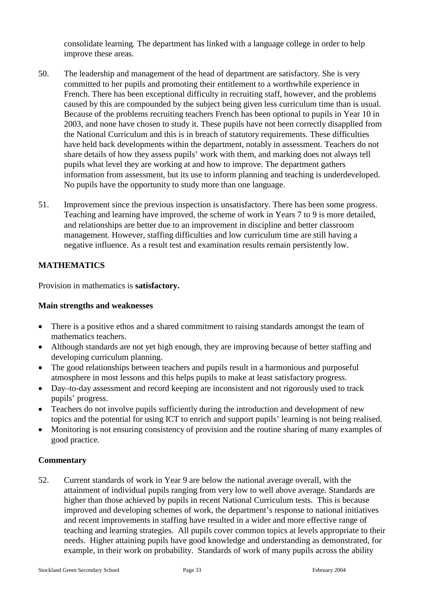consolidate learning. The department has linked with a language college in order to help improve these areas.

- 50. The leadership and management of the head of department are satisfactory. She is very committed to her pupils and promoting their entitlement to a worthwhile experience in French. There has been exceptional difficulty in recruiting staff, however, and the problems caused by this are compounded by the subject being given less curriculum time than is usual. Because of the problems recruiting teachers French has been optional to pupils in Year 10 in 2003, and none have chosen to study it. These pupils have not been correctly disapplied from the National Curriculum and this is in breach of statutory requirements. These difficulties have held back developments within the department, notably in assessment. Teachers do not share details of how they assess pupils' work with them, and marking does not always tell pupils what level they are working at and how to improve. The department gathers information from assessment, but its use to inform planning and teaching is underdeveloped. No pupils have the opportunity to study more than one language.
- 51. Improvement since the previous inspection is unsatisfactory. There has been some progress. Teaching and learning have improved, the scheme of work in Years 7 to 9 is more detailed, and relationships are better due to an improvement in discipline and better classroom management. However, staffing difficulties and low curriculum time are still having a negative influence. As a result test and examination results remain persistently low.

## **MATHEMATICS**

Provision in mathematics is **satisfactory.**

#### **Main strengths and weaknesses**

- There is a positive ethos and a shared commitment to raising standards amongst the team of mathematics teachers.
- Although standards are not yet high enough, they are improving because of better staffing and developing curriculum planning.
- The good relationships between teachers and pupils result in a harmonious and purposeful atmosphere in most lessons and this helps pupils to make at least satisfactory progress.
- Day–to-day assessment and record keeping are inconsistent and not rigorously used to track pupils' progress.
- Teachers do not involve pupils sufficiently during the introduction and development of new topics and the potential for using ICT to enrich and support pupils' learning is not being realised.
- Monitoring is not ensuring consistency of provision and the routine sharing of many examples of good practice.

## **Commentary**

52. Current standards of work in Year 9 are below the national average overall, with the attainment of individual pupils ranging from very low to well above average. Standards are higher than those achieved by pupils in recent National Curriculum tests. This is because improved and developing schemes of work, the department's response to national initiatives and recent improvements in staffing have resulted in a wider and more effective range of teaching and learning strategies. All pupils cover common topics at levels appropriate to their needs. Higher attaining pupils have good knowledge and understanding as demonstrated, for example, in their work on probability. Standards of work of many pupils across the ability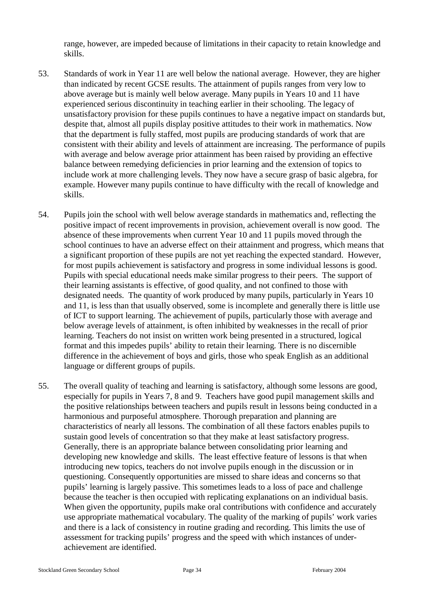range, however, are impeded because of limitations in their capacity to retain knowledge and skills.

- 53. Standards of work in Year 11 are well below the national average. However, they are higher than indicated by recent GCSE results. The attainment of pupils ranges from very low to above average but is mainly well below average. Many pupils in Years 10 and 11 have experienced serious discontinuity in teaching earlier in their schooling. The legacy of unsatisfactory provision for these pupils continues to have a negative impact on standards but, despite that, almost all pupils display positive attitudes to their work in mathematics. Now that the department is fully staffed, most pupils are producing standards of work that are consistent with their ability and levels of attainment are increasing. The performance of pupils with average and below average prior attainment has been raised by providing an effective balance between remedying deficiencies in prior learning and the extension of topics to include work at more challenging levels. They now have a secure grasp of basic algebra, for example. However many pupils continue to have difficulty with the recall of knowledge and skills.
- 54. Pupils join the school with well below average standards in mathematics and, reflecting the positive impact of recent improvements in provision, achievement overall is now good. The absence of these improvements when current Year 10 and 11 pupils moved through the school continues to have an adverse effect on their attainment and progress, which means that a significant proportion of these pupils are not yet reaching the expected standard. However, for most pupils achievement is satisfactory and progress in some individual lessons is good. Pupils with special educational needs make similar progress to their peers. The support of their learning assistants is effective, of good quality, and not confined to those with designated needs. The quantity of work produced by many pupils, particularly in Years 10 and 11, is less than that usually observed, some is incomplete and generally there is little use of ICT to support learning. The achievement of pupils, particularly those with average and below average levels of attainment, is often inhibited by weaknesses in the recall of prior learning. Teachers do not insist on written work being presented in a structured, logical format and this impedes pupils' ability to retain their learning. There is no discernible difference in the achievement of boys and girls, those who speak English as an additional language or different groups of pupils.
- 55. The overall quality of teaching and learning is satisfactory, although some lessons are good, especially for pupils in Years 7, 8 and 9. Teachers have good pupil management skills and the positive relationships between teachers and pupils result in lessons being conducted in a harmonious and purposeful atmosphere. Thorough preparation and planning are characteristics of nearly all lessons. The combination of all these factors enables pupils to sustain good levels of concentration so that they make at least satisfactory progress. Generally, there is an appropriate balance between consolidating prior learning and developing new knowledge and skills. The least effective feature of lessons is that when introducing new topics, teachers do not involve pupils enough in the discussion or in questioning. Consequently opportunities are missed to share ideas and concerns so that pupils' learning is largely passive. This sometimes leads to a loss of pace and challenge because the teacher is then occupied with replicating explanations on an individual basis. When given the opportunity, pupils make oral contributions with confidence and accurately use appropriate mathematical vocabulary. The quality of the marking of pupils' work varies and there is a lack of consistency in routine grading and recording. This limits the use of assessment for tracking pupils' progress and the speed with which instances of underachievement are identified.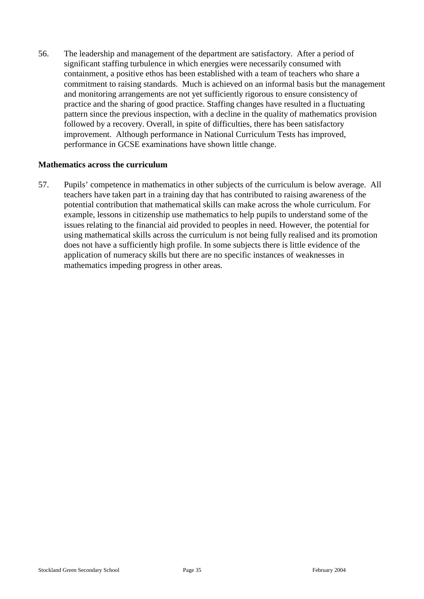56. The leadership and management of the department are satisfactory. After a period of significant staffing turbulence in which energies were necessarily consumed with containment, a positive ethos has been established with a team of teachers who share a commitment to raising standards. Much is achieved on an informal basis but the management and monitoring arrangements are not yet sufficiently rigorous to ensure consistency of practice and the sharing of good practice. Staffing changes have resulted in a fluctuating pattern since the previous inspection, with a decline in the quality of mathematics provision followed by a recovery. Overall, in spite of difficulties, there has been satisfactory improvement. Although performance in National Curriculum Tests has improved, performance in GCSE examinations have shown little change.

#### **Mathematics across the curriculum**

57. Pupils' competence in mathematics in other subjects of the curriculum is below average. All teachers have taken part in a training day that has contributed to raising awareness of the potential contribution that mathematical skills can make across the whole curriculum. For example, lessons in citizenship use mathematics to help pupils to understand some of the issues relating to the financial aid provided to peoples in need. However, the potential for using mathematical skills across the curriculum is not being fully realised and its promotion does not have a sufficiently high profile. In some subjects there is little evidence of the application of numeracy skills but there are no specific instances of weaknesses in mathematics impeding progress in other areas.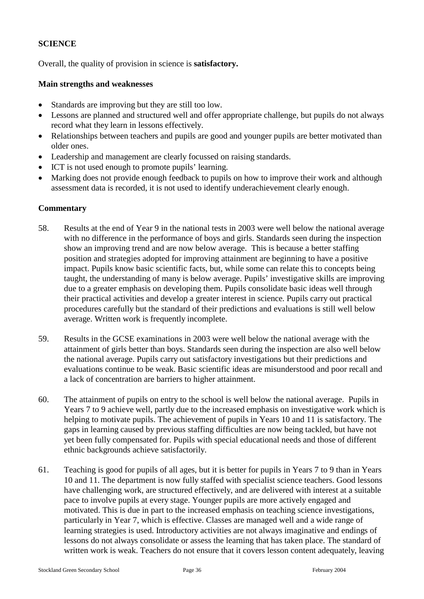## **SCIENCE**

Overall, the quality of provision in science is **satisfactory.**

#### **Main strengths and weaknesses**

- Standards are improving but they are still too low.
- Lessons are planned and structured well and offer appropriate challenge, but pupils do not always record what they learn in lessons effectively.
- Relationships between teachers and pupils are good and younger pupils are better motivated than older ones.
- Leadership and management are clearly focussed on raising standards.
- ICT is not used enough to promote pupils' learning.
- Marking does not provide enough feedback to pupils on how to improve their work and although assessment data is recorded, it is not used to identify underachievement clearly enough.

- 58. Results at the end of Year 9 in the national tests in 2003 were well below the national average with no difference in the performance of boys and girls. Standards seen during the inspection show an improving trend and are now below average. This is because a better staffing position and strategies adopted for improving attainment are beginning to have a positive impact. Pupils know basic scientific facts, but, while some can relate this to concepts being taught, the understanding of many is below average. Pupils' investigative skills are improving due to a greater emphasis on developing them. Pupils consolidate basic ideas well through their practical activities and develop a greater interest in science. Pupils carry out practical procedures carefully but the standard of their predictions and evaluations is still well below average. Written work is frequently incomplete.
- 59. Results in the GCSE examinations in 2003 were well below the national average with the attainment of girls better than boys. Standards seen during the inspection are also well below the national average. Pupils carry out satisfactory investigations but their predictions and evaluations continue to be weak. Basic scientific ideas are misunderstood and poor recall and a lack of concentration are barriers to higher attainment.
- 60. The attainment of pupils on entry to the school is well below the national average. Pupils in Years 7 to 9 achieve well, partly due to the increased emphasis on investigative work which is helping to motivate pupils. The achievement of pupils in Years 10 and 11 is satisfactory. The gaps in learning caused by previous staffing difficulties are now being tackled, but have not yet been fully compensated for. Pupils with special educational needs and those of different ethnic backgrounds achieve satisfactorily.
- 61. Teaching is good for pupils of all ages, but it is better for pupils in Years 7 to 9 than in Years 10 and 11. The department is now fully staffed with specialist science teachers. Good lessons have challenging work, are structured effectively, and are delivered with interest at a suitable pace to involve pupils at every stage. Younger pupils are more actively engaged and motivated. This is due in part to the increased emphasis on teaching science investigations, particularly in Year 7, which is effective. Classes are managed well and a wide range of learning strategies is used. Introductory activities are not always imaginative and endings of lessons do not always consolidate or assess the learning that has taken place. The standard of written work is weak. Teachers do not ensure that it covers lesson content adequately, leaving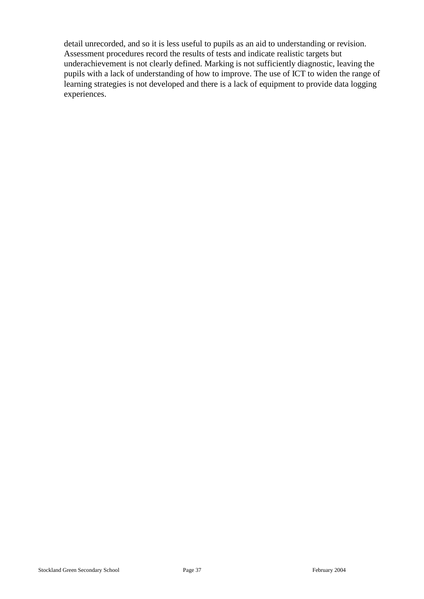detail unrecorded, and so it is less useful to pupils as an aid to understanding or revision. Assessment procedures record the results of tests and indicate realistic targets but underachievement is not clearly defined. Marking is not sufficiently diagnostic, leaving the pupils with a lack of understanding of how to improve. The use of ICT to widen the range of learning strategies is not developed and there is a lack of equipment to provide data logging experiences.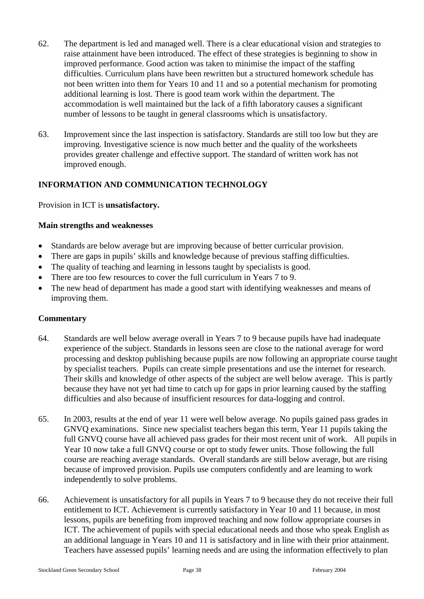- 62. The department is led and managed well. There is a clear educational vision and strategies to raise attainment have been introduced. The effect of these strategies is beginning to show in improved performance. Good action was taken to minimise the impact of the staffing difficulties. Curriculum plans have been rewritten but a structured homework schedule has not been written into them for Years 10 and 11 and so a potential mechanism for promoting additional learning is lost. There is good team work within the department. The accommodation is well maintained but the lack of a fifth laboratory causes a significant number of lessons to be taught in general classrooms which is unsatisfactory.
- 63. Improvement since the last inspection is satisfactory. Standards are still too low but they are improving. Investigative science is now much better and the quality of the worksheets provides greater challenge and effective support. The standard of written work has not improved enough.

## **INFORMATION AND COMMUNICATION TECHNOLOGY**

Provision in ICT is **unsatisfactory.**

#### **Main strengths and weaknesses**

- Standards are below average but are improving because of better curricular provision.
- There are gaps in pupils' skills and knowledge because of previous staffing difficulties.
- The quality of teaching and learning in lessons taught by specialists is good.
- There are too few resources to cover the full curriculum in Years 7 to 9.
- The new head of department has made a good start with identifying weaknesses and means of improving them.

- 64. Standards are well below average overall in Years 7 to 9 because pupils have had inadequate experience of the subject. Standards in lessons seen are close to the national average for word processing and desktop publishing because pupils are now following an appropriate course taught by specialist teachers. Pupils can create simple presentations and use the internet for research. Their skills and knowledge of other aspects of the subject are well below average. This is partly because they have not yet had time to catch up for gaps in prior learning caused by the staffing difficulties and also because of insufficient resources for data-logging and control.
- 65. In 2003, results at the end of year 11 were well below average. No pupils gained pass grades in GNVQ examinations. Since new specialist teachers began this term, Year 11 pupils taking the full GNVQ course have all achieved pass grades for their most recent unit of work. All pupils in Year 10 now take a full GNVQ course or opt to study fewer units. Those following the full course are reaching average standards. Overall standards are still below average, but are rising because of improved provision. Pupils use computers confidently and are learning to work independently to solve problems.
- 66. Achievement is unsatisfactory for all pupils in Years 7 to 9 because they do not receive their full entitlement to ICT. Achievement is currently satisfactory in Year 10 and 11 because, in most lessons, pupils are benefiting from improved teaching and now follow appropriate courses in ICT. The achievement of pupils with special educational needs and those who speak English as an additional language in Years 10 and 11 is satisfactory and in line with their prior attainment. Teachers have assessed pupils' learning needs and are using the information effectively to plan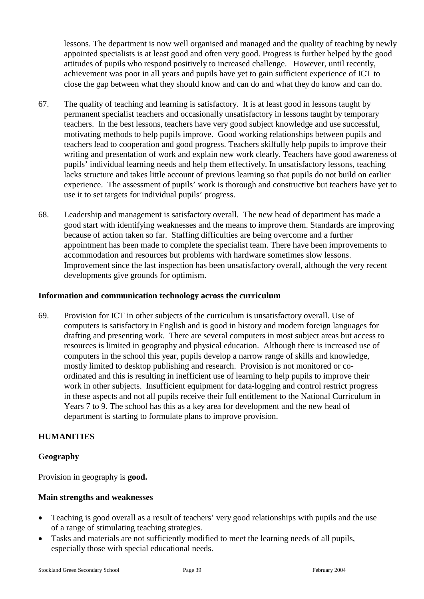lessons. The department is now well organised and managed and the quality of teaching by newly appointed specialists is at least good and often very good. Progress is further helped by the good attitudes of pupils who respond positively to increased challenge. However, until recently, achievement was poor in all years and pupils have yet to gain sufficient experience of ICT to close the gap between what they should know and can do and what they do know and can do.

- 67. The quality of teaching and learning is satisfactory. It is at least good in lessons taught by permanent specialist teachers and occasionally unsatisfactory in lessons taught by temporary teachers. In the best lessons, teachers have very good subject knowledge and use successful, motivating methods to help pupils improve. Good working relationships between pupils and teachers lead to cooperation and good progress. Teachers skilfully help pupils to improve their writing and presentation of work and explain new work clearly. Teachers have good awareness of pupils' individual learning needs and help them effectively. In unsatisfactory lessons, teaching lacks structure and takes little account of previous learning so that pupils do not build on earlier experience. The assessment of pupils' work is thorough and constructive but teachers have yet to use it to set targets for individual pupils' progress.
- 68. Leadership and management is satisfactory overall. The new head of department has made a good start with identifying weaknesses and the means to improve them. Standards are improving because of action taken so far. Staffing difficulties are being overcome and a further appointment has been made to complete the specialist team. There have been improvements to accommodation and resources but problems with hardware sometimes slow lessons. Improvement since the last inspection has been unsatisfactory overall, although the very recent developments give grounds for optimism.

#### **Information and communication technology across the curriculum**

69. Provision for ICT in other subjects of the curriculum is unsatisfactory overall. Use of computers is satisfactory in English and is good in history and modern foreign languages for drafting and presenting work. There are several computers in most subject areas but access to resources is limited in geography and physical education. Although there is increased use of computers in the school this year, pupils develop a narrow range of skills and knowledge, mostly limited to desktop publishing and research. Provision is not monitored or coordinated and this is resulting in inefficient use of learning to help pupils to improve their work in other subjects. Insufficient equipment for data-logging and control restrict progress in these aspects and not all pupils receive their full entitlement to the National Curriculum in Years 7 to 9. The school has this as a key area for development and the new head of department is starting to formulate plans to improve provision.

## **HUMANITIES**

## **Geography**

Provision in geography is **good.**

## **Main strengths and weaknesses**

- Teaching is good overall as a result of teachers' very good relationships with pupils and the use of a range of stimulating teaching strategies.
- Tasks and materials are not sufficiently modified to meet the learning needs of all pupils, especially those with special educational needs.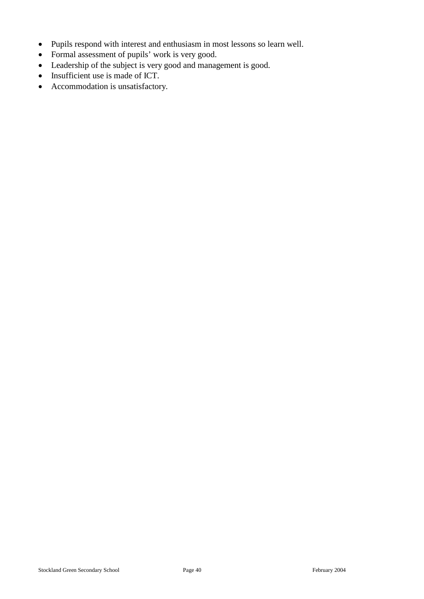- Pupils respond with interest and enthusiasm in most lessons so learn well.
- Formal assessment of pupils' work is very good.
- Leadership of the subject is very good and management is good.
- Insufficient use is made of ICT.
- Accommodation is unsatisfactory.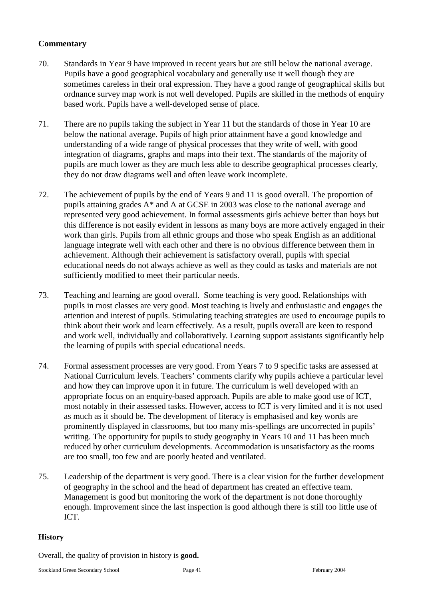## **Commentary**

- 70. Standards in Year 9 have improved in recent years but are still below the national average. Pupils have a good geographical vocabulary and generally use it well though they are sometimes careless in their oral expression. They have a good range of geographical skills but ordnance survey map work is not well developed. Pupils are skilled in the methods of enquiry based work. Pupils have a well-developed sense of place.
- 71. There are no pupils taking the subject in Year 11 but the standards of those in Year 10 are below the national average. Pupils of high prior attainment have a good knowledge and understanding of a wide range of physical processes that they write of well, with good integration of diagrams, graphs and maps into their text. The standards of the majority of pupils are much lower as they are much less able to describe geographical processes clearly, they do not draw diagrams well and often leave work incomplete.
- 72. The achievement of pupils by the end of Years 9 and 11 is good overall. The proportion of pupils attaining grades A\* and A at GCSE in 2003 was close to the national average and represented very good achievement. In formal assessments girls achieve better than boys but this difference is not easily evident in lessons as many boys are more actively engaged in their work than girls. Pupils from all ethnic groups and those who speak English as an additional language integrate well with each other and there is no obvious difference between them in achievement. Although their achievement is satisfactory overall, pupils with special educational needs do not always achieve as well as they could as tasks and materials are not sufficiently modified to meet their particular needs.
- 73. Teaching and learning are good overall. Some teaching is very good. Relationships with pupils in most classes are very good. Most teaching is lively and enthusiastic and engages the attention and interest of pupils. Stimulating teaching strategies are used to encourage pupils to think about their work and learn effectively. As a result, pupils overall are keen to respond and work well, individually and collaboratively. Learning support assistants significantly help the learning of pupils with special educational needs.
- 74. Formal assessment processes are very good. From Years 7 to 9 specific tasks are assessed at National Curriculum levels. Teachers' comments clarify why pupils achieve a particular level and how they can improve upon it in future. The curriculum is well developed with an appropriate focus on an enquiry-based approach. Pupils are able to make good use of ICT, most notably in their assessed tasks. However, access to ICT is very limited and it is not used as much as it should be. The development of literacy is emphasised and key words are prominently displayed in classrooms, but too many mis-spellings are uncorrected in pupils' writing. The opportunity for pupils to study geography in Years 10 and 11 has been much reduced by other curriculum developments. Accommodation is unsatisfactory as the rooms are too small, too few and are poorly heated and ventilated.
- 75. Leadership of the department is very good. There is a clear vision for the further development of geography in the school and the head of department has created an effective team. Management is good but monitoring the work of the department is not done thoroughly enough. Improvement since the last inspection is good although there is still too little use of ICT.

#### **History**

Overall, the quality of provision in history is **good.**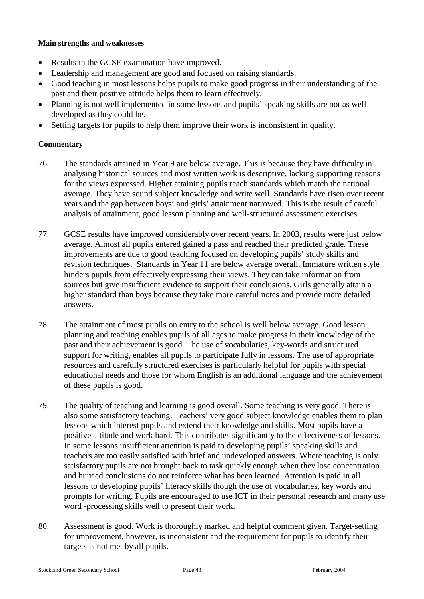#### **Main strengths and weaknesses**

- Results in the GCSE examination have improved.
- Leadership and management are good and focused on raising standards.
- Good teaching in most lessons helps pupils to make good progress in their understanding of the past and their positive attitude helps them to learn effectively.
- Planning is not well implemented in some lessons and pupils' speaking skills are not as well developed as they could be.
- Setting targets for pupils to help them improve their work is inconsistent in quality.

- 76. The standards attained in Year 9 are below average. This is because they have difficulty in analysing historical sources and most written work is descriptive, lacking supporting reasons for the views expressed. Higher attaining pupils reach standards which match the national average. They have sound subject knowledge and write well. Standards have risen over recent years and the gap between boys' and girls' attainment narrowed. This is the result of careful analysis of attainment, good lesson planning and well-structured assessment exercises.
- 77. GCSE results have improved considerably over recent years. In 2003, results were just below average. Almost all pupils entered gained a pass and reached their predicted grade. These improvements are due to good teaching focused on developing pupils' study skills and revision techniques. Standards in Year 11 are below average overall. Immature written style hinders pupils from effectively expressing their views. They can take information from sources but give insufficient evidence to support their conclusions. Girls generally attain a higher standard than boys because they take more careful notes and provide more detailed answers.
- 78. The attainment of most pupils on entry to the school is well below average. Good lesson planning and teaching enables pupils of all ages to make progress in their knowledge of the past and their achievement is good. The use of vocabularies, key-words and structured support for writing, enables all pupils to participate fully in lessons. The use of appropriate resources and carefully structured exercises is particularly helpful for pupils with special educational needs and those for whom English is an additional language and the achievement of these pupils is good.
- 79. The quality of teaching and learning is good overall. Some teaching is very good. There is also some satisfactory teaching. Teachers' very good subject knowledge enables them to plan lessons which interest pupils and extend their knowledge and skills. Most pupils have a positive attitude and work hard. This contributes significantly to the effectiveness of lessons. In some lessons insufficient attention is paid to developing pupils' speaking skills and teachers are too easily satisfied with brief and undeveloped answers. Where teaching is only satisfactory pupils are not brought back to task quickly enough when they lose concentration and hurried conclusions do not reinforce what has been learned. Attention is paid in all lessons to developing pupils' literacy skills though the use of vocabularies, key words and prompts for writing. Pupils are encouraged to use ICT in their personal research and many use word -processing skills well to present their work.
- 80. Assessment is good. Work is thoroughly marked and helpful comment given. Target-setting for improvement, however, is inconsistent and the requirement for pupils to identify their targets is not met by all pupils.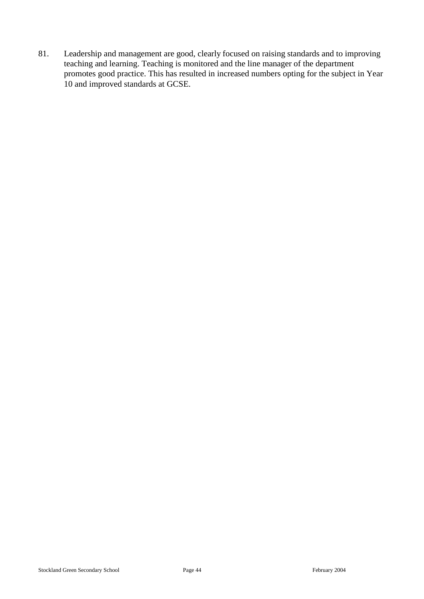81. Leadership and management are good, clearly focused on raising standards and to improving teaching and learning. Teaching is monitored and the line manager of the department promotes good practice. This has resulted in increased numbers opting for the subject in Year 10 and improved standards at GCSE.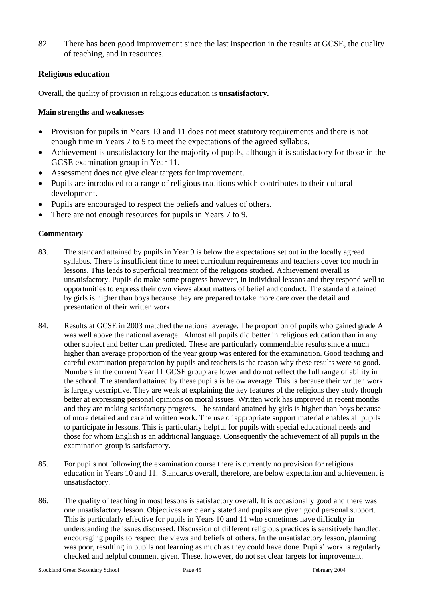82. There has been good improvement since the last inspection in the results at GCSE, the quality of teaching, and in resources.

#### **Religious education**

Overall, the quality of provision in religious education is **unsatisfactory.**

#### **Main strengths and weaknesses**

- Provision for pupils in Years 10 and 11 does not meet statutory requirements and there is not enough time in Years 7 to 9 to meet the expectations of the agreed syllabus.
- Achievement is unsatisfactory for the majority of pupils, although it is satisfactory for those in the GCSE examination group in Year 11.
- Assessment does not give clear targets for improvement.
- Pupils are introduced to a range of religious traditions which contributes to their cultural development.
- Pupils are encouraged to respect the beliefs and values of others.
- There are not enough resources for pupils in Years 7 to 9.

- 83. The standard attained by pupils in Year 9 is below the expectations set out in the locally agreed syllabus. There is insufficient time to meet curriculum requirements and teachers cover too much in lessons. This leads to superficial treatment of the religions studied. Achievement overall is unsatisfactory. Pupils do make some progress however, in individual lessons and they respond well to opportunities to express their own views about matters of belief and conduct. The standard attained by girls is higher than boys because they are prepared to take more care over the detail and presentation of their written work.
- 84. Results at GCSE in 2003 matched the national average. The proportion of pupils who gained grade A was well above the national average. Almost all pupils did better in religious education than in any other subject and better than predicted. These are particularly commendable results since a much higher than average proportion of the year group was entered for the examination. Good teaching and careful examination preparation by pupils and teachers is the reason why these results were so good. Numbers in the current Year 11 GCSE group are lower and do not reflect the full range of ability in the school. The standard attained by these pupils is below average. This is because their written work is largely descriptive. They are weak at explaining the key features of the religions they study though better at expressing personal opinions on moral issues. Written work has improved in recent months and they are making satisfactory progress. The standard attained by girls is higher than boys because of more detailed and careful written work. The use of appropriate support material enables all pupils to participate in lessons. This is particularly helpful for pupils with special educational needs and those for whom English is an additional language. Consequently the achievement of all pupils in the examination group is satisfactory.
- 85. For pupils not following the examination course there is currently no provision for religious education in Years 10 and 11. Standards overall, therefore, are below expectation and achievement is unsatisfactory.
- 86. The quality of teaching in most lessons is satisfactory overall. It is occasionally good and there was one unsatisfactory lesson. Objectives are clearly stated and pupils are given good personal support. This is particularly effective for pupils in Years 10 and 11 who sometimes have difficulty in understanding the issues discussed. Discussion of different religious practices is sensitively handled, encouraging pupils to respect the views and beliefs of others. In the unsatisfactory lesson, planning was poor, resulting in pupils not learning as much as they could have done. Pupils' work is regularly checked and helpful comment given. These, however, do not set clear targets for improvement.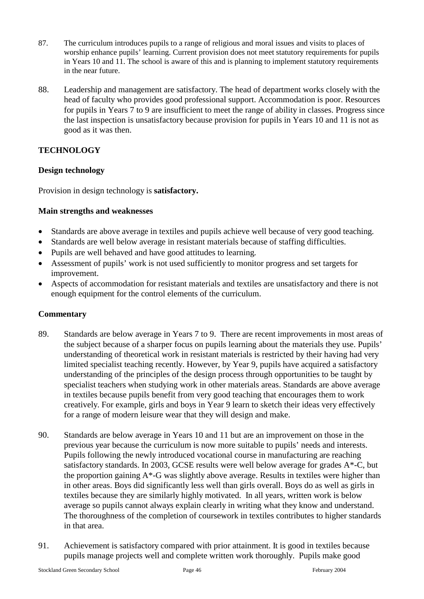- 87. The curriculum introduces pupils to a range of religious and moral issues and visits to places of worship enhance pupils' learning. Current provision does not meet statutory requirements for pupils in Years 10 and 11. The school is aware of this and is planning to implement statutory requirements in the near future.
- 88. Leadership and management are satisfactory. The head of department works closely with the head of faculty who provides good professional support. Accommodation is poor. Resources for pupils in Years 7 to 9 are insufficient to meet the range of ability in classes. Progress since the last inspection is unsatisfactory because provision for pupils in Years 10 and 11 is not as good as it was then.

## **TECHNOLOGY**

## **Design technology**

Provision in design technology is **satisfactory.**

#### **Main strengths and weaknesses**

- Standards are above average in textiles and pupils achieve well because of very good teaching.
- Standards are well below average in resistant materials because of staffing difficulties.
- Pupils are well behaved and have good attitudes to learning.
- Assessment of pupils' work is not used sufficiently to monitor progress and set targets for improvement.
- Aspects of accommodation for resistant materials and textiles are unsatisfactory and there is not enough equipment for the control elements of the curriculum.

- 89. Standards are below average in Years 7 to 9. There are recent improvements in most areas of the subject because of a sharper focus on pupils learning about the materials they use. Pupils' understanding of theoretical work in resistant materials is restricted by their having had very limited specialist teaching recently. However, by Year 9, pupils have acquired a satisfactory understanding of the principles of the design process through opportunities to be taught by specialist teachers when studying work in other materials areas. Standards are above average in textiles because pupils benefit from very good teaching that encourages them to work creatively. For example, girls and boys in Year 9 learn to sketch their ideas very effectively for a range of modern leisure wear that they will design and make.
- 90. Standards are below average in Years 10 and 11 but are an improvement on those in the previous year because the curriculum is now more suitable to pupils' needs and interests. Pupils following the newly introduced vocational course in manufacturing are reaching satisfactory standards. In 2003, GCSE results were well below average for grades A\*-C, but the proportion gaining A\*-G was slightly above average. Results in textiles were higher than in other areas. Boys did significantly less well than girls overall. Boys do as well as girls in textiles because they are similarly highly motivated. In all years, written work is below average so pupils cannot always explain clearly in writing what they know and understand. The thoroughness of the completion of coursework in textiles contributes to higher standards in that area.
- 91. Achievement is satisfactory compared with prior attainment. It is good in textiles because pupils manage projects well and complete written work thoroughly. Pupils make good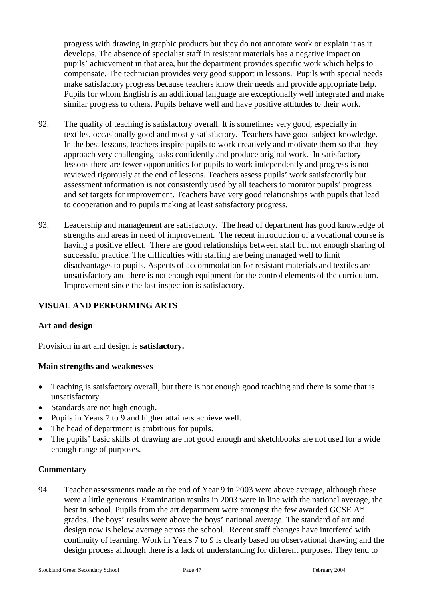progress with drawing in graphic products but they do not annotate work or explain it as it develops. The absence of specialist staff in resistant materials has a negative impact on pupils' achievement in that area, but the department provides specific work which helps to compensate. The technician provides very good support in lessons. Pupils with special needs make satisfactory progress because teachers know their needs and provide appropriate help. Pupils for whom English is an additional language are exceptionally well integrated and make similar progress to others. Pupils behave well and have positive attitudes to their work.

- 92. The quality of teaching is satisfactory overall. It is sometimes very good, especially in textiles, occasionally good and mostly satisfactory. Teachers have good subject knowledge. In the best lessons, teachers inspire pupils to work creatively and motivate them so that they approach very challenging tasks confidently and produce original work. In satisfactory lessons there are fewer opportunities for pupils to work independently and progress is not reviewed rigorously at the end of lessons. Teachers assess pupils' work satisfactorily but assessment information is not consistently used by all teachers to monitor pupils' progress and set targets for improvement. Teachers have very good relationships with pupils that lead to cooperation and to pupils making at least satisfactory progress.
- 93. Leadership and management are satisfactory. The head of department has good knowledge of strengths and areas in need of improvement. The recent introduction of a vocational course is having a positive effect. There are good relationships between staff but not enough sharing of successful practice. The difficulties with staffing are being managed well to limit disadvantages to pupils. Aspects of accommodation for resistant materials and textiles are unsatisfactory and there is not enough equipment for the control elements of the curriculum. Improvement since the last inspection is satisfactory.

## **VISUAL AND PERFORMING ARTS**

#### **Art and design**

Provision in art and design is **satisfactory.**

#### **Main strengths and weaknesses**

- Teaching is satisfactory overall, but there is not enough good teaching and there is some that is unsatisfactory.
- Standards are not high enough.
- Pupils in Years 7 to 9 and higher attainers achieve well.
- The head of department is ambitious for pupils.
- The pupils' basic skills of drawing are not good enough and sketchbooks are not used for a wide enough range of purposes.

#### **Commentary**

94. Teacher assessments made at the end of Year 9 in 2003 were above average, although these were a little generous. Examination results in 2003 were in line with the national average, the best in school. Pupils from the art department were amongst the few awarded GCSE A\* grades. The boys' results were above the boys' national average. The standard of art and design now is below average across the school. Recent staff changes have interfered with continuity of learning. Work in Years 7 to 9 is clearly based on observational drawing and the design process although there is a lack of understanding for different purposes. They tend to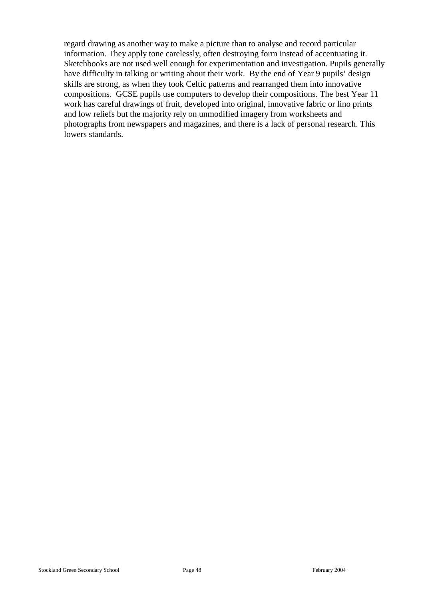regard drawing as another way to make a picture than to analyse and record particular information. They apply tone carelessly, often destroying form instead of accentuating it. Sketchbooks are not used well enough for experimentation and investigation. Pupils generally have difficulty in talking or writing about their work. By the end of Year 9 pupils' design skills are strong, as when they took Celtic patterns and rearranged them into innovative compositions. GCSE pupils use computers to develop their compositions. The best Year 11 work has careful drawings of fruit, developed into original, innovative fabric or lino prints and low reliefs but the majority rely on unmodified imagery from worksheets and photographs from newspapers and magazines, and there is a lack of personal research. This lowers standards.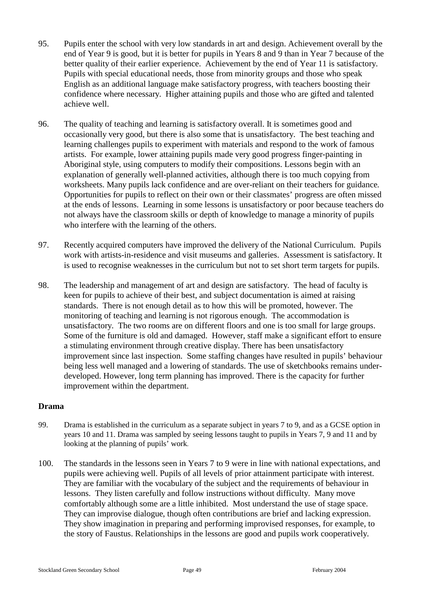- 95. Pupils enter the school with very low standards in art and design. Achievement overall by the end of Year 9 is good, but it is better for pupils in Years 8 and 9 than in Year 7 because of the better quality of their earlier experience. Achievement by the end of Year 11 is satisfactory. Pupils with special educational needs, those from minority groups and those who speak English as an additional language make satisfactory progress, with teachers boosting their confidence where necessary. Higher attaining pupils and those who are gifted and talented achieve well.
- 96. The quality of teaching and learning is satisfactory overall. It is sometimes good and occasionally very good, but there is also some that is unsatisfactory. The best teaching and learning challenges pupils to experiment with materials and respond to the work of famous artists. For example, lower attaining pupils made very good progress finger-painting in Aboriginal style, using computers to modify their compositions. Lessons begin with an explanation of generally well-planned activities, although there is too much copying from worksheets. Many pupils lack confidence and are over-reliant on their teachers for guidance. Opportunities for pupils to reflect on their own or their classmates' progress are often missed at the ends of lessons. Learning in some lessons is unsatisfactory or poor because teachers do not always have the classroom skills or depth of knowledge to manage a minority of pupils who interfere with the learning of the others.
- 97. Recently acquired computers have improved the delivery of the National Curriculum. Pupils work with artists-in-residence and visit museums and galleries. Assessment is satisfactory. It is used to recognise weaknesses in the curriculum but not to set short term targets for pupils.
- 98. The leadership and management of art and design are satisfactory. The head of faculty is keen for pupils to achieve of their best, and subject documentation is aimed at raising standards. There is not enough detail as to how this will be promoted, however. The monitoring of teaching and learning is not rigorous enough. The accommodation is unsatisfactory. The two rooms are on different floors and one is too small for large groups. Some of the furniture is old and damaged. However, staff make a significant effort to ensure a stimulating environment through creative display. There has been unsatisfactory improvement since last inspection. Some staffing changes have resulted in pupils' behaviour being less well managed and a lowering of standards. The use of sketchbooks remains underdeveloped. However, long term planning has improved. There is the capacity for further improvement within the department.

#### **Drama**

- 99. Drama is established in the curriculum as a separate subject in years 7 to 9, and as a GCSE option in years 10 and 11. Drama was sampled by seeing lessons taught to pupils in Years 7, 9 and 11 and by looking at the planning of pupils' work*.*
- 100. The standards in the lessons seen in Years 7 to 9 were in line with national expectations, and pupils were achieving well. Pupils of all levels of prior attainment participate with interest. They are familiar with the vocabulary of the subject and the requirements of behaviour in lessons. They listen carefully and follow instructions without difficulty. Many move comfortably although some are a little inhibited. Most understand the use of stage space. They can improvise dialogue, though often contributions are brief and lacking expression. They show imagination in preparing and performing improvised responses, for example, to the story of Faustus. Relationships in the lessons are good and pupils work cooperatively.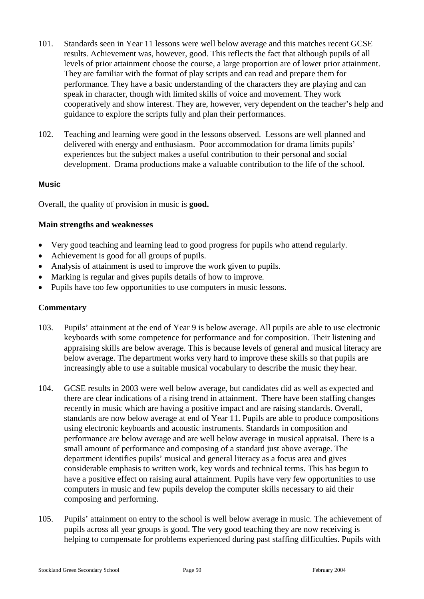- 101. Standards seen in Year 11 lessons were well below average and this matches recent GCSE results. Achievement was, however, good. This reflects the fact that although pupils of all levels of prior attainment choose the course, a large proportion are of lower prior attainment. They are familiar with the format of play scripts and can read and prepare them for performance. They have a basic understanding of the characters they are playing and can speak in character, though with limited skills of voice and movement. They work cooperatively and show interest. They are, however, very dependent on the teacher's help and guidance to explore the scripts fully and plan their performances.
- 102. Teaching and learning were good in the lessons observed. Lessons are well planned and delivered with energy and enthusiasm. Poor accommodation for drama limits pupils' experiences but the subject makes a useful contribution to their personal and social development. Drama productions make a valuable contribution to the life of the school.

#### **Music**

Overall, the quality of provision in music is **good.** 

#### **Main strengths and weaknesses**

- Very good teaching and learning lead to good progress for pupils who attend regularly.
- Achievement is good for all groups of pupils.
- Analysis of attainment is used to improve the work given to pupils.
- Marking is regular and gives pupils details of how to improve.
- Pupils have too few opportunities to use computers in music lessons.

- 103. Pupils' attainment at the end of Year 9 is below average. All pupils are able to use electronic keyboards with some competence for performance and for composition. Their listening and appraising skills are below average. This is because levels of general and musical literacy are below average. The department works very hard to improve these skills so that pupils are increasingly able to use a suitable musical vocabulary to describe the music they hear.
- 104. GCSE results in 2003 were well below average, but candidates did as well as expected and there are clear indications of a rising trend in attainment. There have been staffing changes recently in music which are having a positive impact and are raising standards. Overall, standards are now below average at end of Year 11. Pupils are able to produce compositions using electronic keyboards and acoustic instruments. Standards in composition and performance are below average and are well below average in musical appraisal. There is a small amount of performance and composing of a standard just above average. The department identifies pupils' musical and general literacy as a focus area and gives considerable emphasis to written work, key words and technical terms. This has begun to have a positive effect on raising aural attainment. Pupils have very few opportunities to use computers in music and few pupils develop the computer skills necessary to aid their composing and performing.
- 105. Pupils' attainment on entry to the school is well below average in music. The achievement of pupils across all year groups is good. The very good teaching they are now receiving is helping to compensate for problems experienced during past staffing difficulties. Pupils with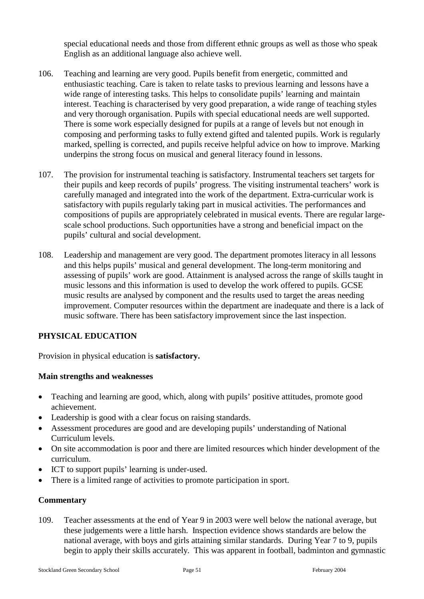special educational needs and those from different ethnic groups as well as those who speak English as an additional language also achieve well.

- 106. Teaching and learning are very good. Pupils benefit from energetic, committed and enthusiastic teaching. Care is taken to relate tasks to previous learning and lessons have a wide range of interesting tasks. This helps to consolidate pupils' learning and maintain interest. Teaching is characterised by very good preparation, a wide range of teaching styles and very thorough organisation. Pupils with special educational needs are well supported. There is some work especially designed for pupils at a range of levels but not enough in composing and performing tasks to fully extend gifted and talented pupils. Work is regularly marked, spelling is corrected, and pupils receive helpful advice on how to improve. Marking underpins the strong focus on musical and general literacy found in lessons.
- 107. The provision for instrumental teaching is satisfactory. Instrumental teachers set targets for their pupils and keep records of pupils' progress. The visiting instrumental teachers' work is carefully managed and integrated into the work of the department. Extra-curricular work is satisfactory with pupils regularly taking part in musical activities. The performances and compositions of pupils are appropriately celebrated in musical events. There are regular largescale school productions. Such opportunities have a strong and beneficial impact on the pupils' cultural and social development.
- 108. Leadership and management are very good. The department promotes literacy in all lessons and this helps pupils' musical and general development. The long-term monitoring and assessing of pupils' work are good. Attainment is analysed across the range of skills taught in music lessons and this information is used to develop the work offered to pupils. GCSE music results are analysed by component and the results used to target the areas needing improvement. Computer resources within the department are inadequate and there is a lack of music software. There has been satisfactory improvement since the last inspection.

## **PHYSICAL EDUCATION**

Provision in physical education is **satisfactory.**

#### **Main strengths and weaknesses**

- Teaching and learning are good, which, along with pupils' positive attitudes, promote good achievement.
- Leadership is good with a clear focus on raising standards.
- Assessment procedures are good and are developing pupils' understanding of National Curriculum levels.
- On site accommodation is poor and there are limited resources which hinder development of the curriculum.
- ICT to support pupils' learning is under-used.
- There is a limited range of activities to promote participation in sport.

#### **Commentary**

109. Teacher assessments at the end of Year 9 in 2003 were well below the national average, but these judgements were a little harsh. Inspection evidence shows standards are below the national average, with boys and girls attaining similar standards. During Year 7 to 9, pupils begin to apply their skills accurately. This was apparent in football, badminton and gymnastic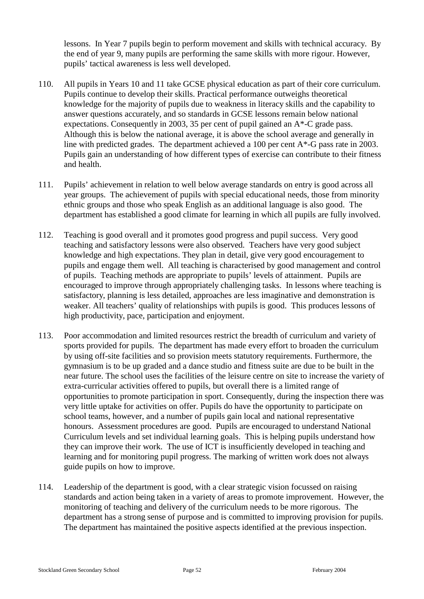lessons. In Year 7 pupils begin to perform movement and skills with technical accuracy. By the end of year 9, many pupils are performing the same skills with more rigour. However, pupils' tactical awareness is less well developed.

- 110. All pupils in Years 10 and 11 take GCSE physical education as part of their core curriculum. Pupils continue to develop their skills. Practical performance outweighs theoretical knowledge for the majority of pupils due to weakness in literacy skills and the capability to answer questions accurately, and so standards in GCSE lessons remain below national expectations. Consequently in 2003, 35 per cent of pupil gained an A\*-C grade pass. Although this is below the national average, it is above the school average and generally in line with predicted grades. The department achieved a 100 per cent A\*-G pass rate in 2003. Pupils gain an understanding of how different types of exercise can contribute to their fitness and health.
- 111. Pupils' achievement in relation to well below average standards on entry is good across all year groups. The achievement of pupils with special educational needs, those from minority ethnic groups and those who speak English as an additional language is also good. The department has established a good climate for learning in which all pupils are fully involved.
- 112. Teaching is good overall and it promotes good progress and pupil success. Very good teaching and satisfactory lessons were also observed. Teachers have very good subject knowledge and high expectations. They plan in detail, give very good encouragement to pupils and engage them well. All teaching is characterised by good management and control of pupils. Teaching methods are appropriate to pupils' levels of attainment. Pupils are encouraged to improve through appropriately challenging tasks. In lessons where teaching is satisfactory, planning is less detailed, approaches are less imaginative and demonstration is weaker. All teachers' quality of relationships with pupils is good. This produces lessons of high productivity, pace, participation and enjoyment.
- 113. Poor accommodation and limited resources restrict the breadth of curriculum and variety of sports provided for pupils. The department has made every effort to broaden the curriculum by using off-site facilities and so provision meets statutory requirements. Furthermore, the gymnasium is to be up graded and a dance studio and fitness suite are due to be built in the near future. The school uses the facilities of the leisure centre on site to increase the variety of extra-curricular activities offered to pupils, but overall there is a limited range of opportunities to promote participation in sport. Consequently, during the inspection there was very little uptake for activities on offer. Pupils do have the opportunity to participate on school teams, however, and a number of pupils gain local and national representative honours. Assessment procedures are good. Pupils are encouraged to understand National Curriculum levels and set individual learning goals. This is helping pupils understand how they can improve their work. The use of ICT is insufficiently developed in teaching and learning and for monitoring pupil progress. The marking of written work does not always guide pupils on how to improve.
- 114. Leadership of the department is good, with a clear strategic vision focussed on raising standards and action being taken in a variety of areas to promote improvement. However, the monitoring of teaching and delivery of the curriculum needs to be more rigorous. The department has a strong sense of purpose and is committed to improving provision for pupils. The department has maintained the positive aspects identified at the previous inspection.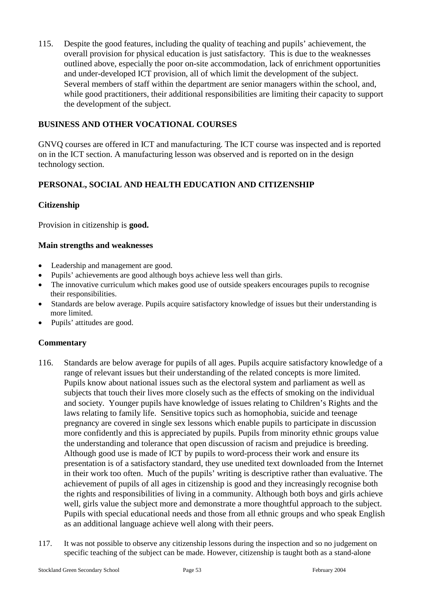115. Despite the good features, including the quality of teaching and pupils' achievement, the overall provision for physical education is just satisfactory. This is due to the weaknesses outlined above, especially the poor on-site accommodation, lack of enrichment opportunities and under-developed ICT provision, all of which limit the development of the subject. Several members of staff within the department are senior managers within the school, and, while good practitioners, their additional responsibilities are limiting their capacity to support the development of the subject.

## **BUSINESS AND OTHER VOCATIONAL COURSES**

GNVQ courses are offered in ICT and manufacturing. The ICT course was inspected and is reported on in the ICT section. A manufacturing lesson was observed and is reported on in the design technology section.

# **PERSONAL, SOCIAL AND HEALTH EDUCATION AND CITIZENSHIP**

## **Citizenship**

Provision in citizenship is **good.**

#### **Main strengths and weaknesses**

- Leadership and management are good.
- Pupils' achievements are good although boys achieve less well than girls.
- The innovative curriculum which makes good use of outside speakers encourages pupils to recognise their responsibilities.
- Standards are below average. Pupils acquire satisfactory knowledge of issues but their understanding is more limited.
- Pupils' attitudes are good.

- 116. Standards are below average for pupils of all ages. Pupils acquire satisfactory knowledge of a range of relevant issues but their understanding of the related concepts is more limited. Pupils know about national issues such as the electoral system and parliament as well as subjects that touch their lives more closely such as the effects of smoking on the individual and society. Younger pupils have knowledge of issues relating to Children's Rights and the laws relating to family life. Sensitive topics such as homophobia, suicide and teenage pregnancy are covered in single sex lessons which enable pupils to participate in discussion more confidently and this is appreciated by pupils. Pupils from minority ethnic groups value the understanding and tolerance that open discussion of racism and prejudice is breeding. Although good use is made of ICT by pupils to word-process their work and ensure its presentation is of a satisfactory standard, they use unedited text downloaded from the Internet in their work too often. Much of the pupils' writing is descriptive rather than evaluative. The achievement of pupils of all ages in citizenship is good and they increasingly recognise both the rights and responsibilities of living in a community. Although both boys and girls achieve well, girls value the subject more and demonstrate a more thoughtful approach to the subject. Pupils with special educational needs and those from all ethnic groups and who speak English as an additional language achieve well along with their peers.
- 117. It was not possible to observe any citizenship lessons during the inspection and so no judgement on specific teaching of the subject can be made. However, citizenship is taught both as a stand-alone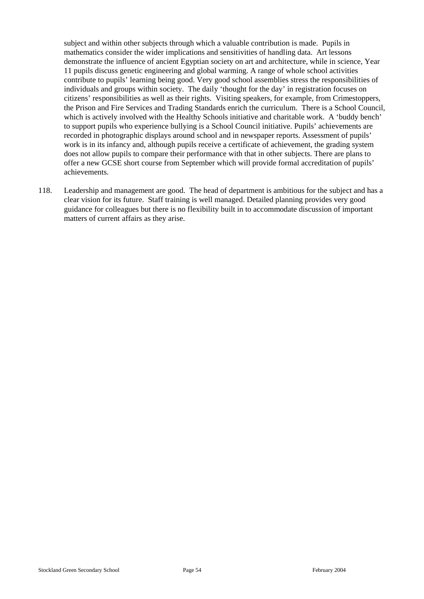subject and within other subjects through which a valuable contribution is made. Pupils in mathematics consider the wider implications and sensitivities of handling data. Art lessons demonstrate the influence of ancient Egyptian society on art and architecture, while in science, Year 11 pupils discuss genetic engineering and global warming. A range of whole school activities contribute to pupils' learning being good. Very good school assemblies stress the responsibilities of individuals and groups within society. The daily 'thought for the day' in registration focuses on citizens' responsibilities as well as their rights. Visiting speakers, for example, from Crimestoppers, the Prison and Fire Services and Trading Standards enrich the curriculum. There is a School Council, which is actively involved with the Healthy Schools initiative and charitable work. A 'buddy bench' to support pupils who experience bullying is a School Council initiative. Pupils' achievements are recorded in photographic displays around school and in newspaper reports. Assessment of pupils' work is in its infancy and, although pupils receive a certificate of achievement, the grading system does not allow pupils to compare their performance with that in other subjects. There are plans to offer a new GCSE short course from September which will provide formal accreditation of pupils' achievements.

118. Leadership and management are good. The head of department is ambitious for the subject and has a clear vision for its future. Staff training is well managed. Detailed planning provides very good guidance for colleagues but there is no flexibility built in to accommodate discussion of important matters of current affairs as they arise.